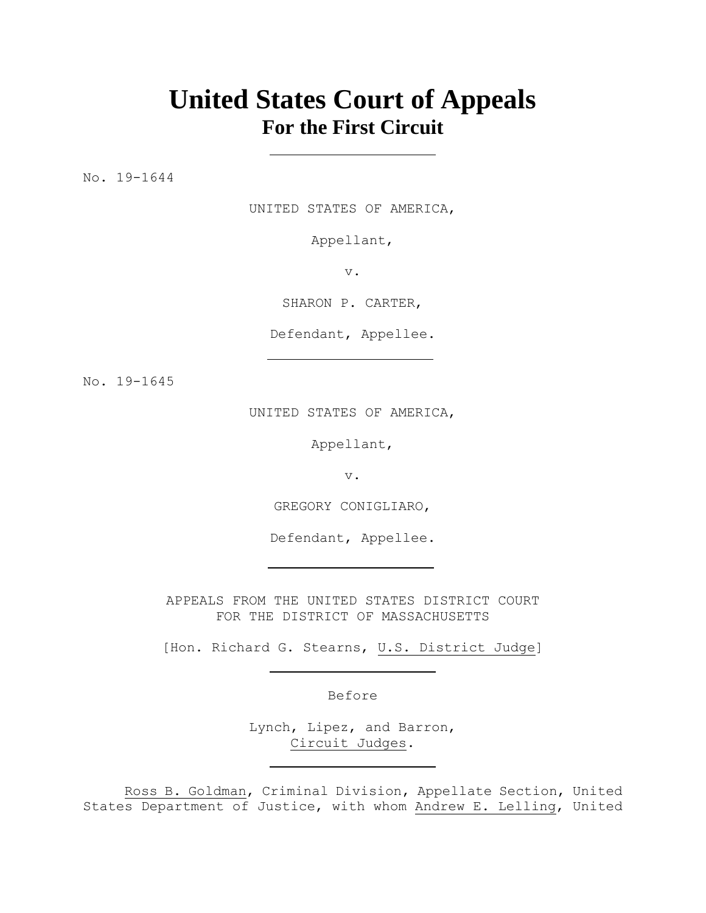# **United States Court of Appeals For the First Circuit**

No. 19-1644

UNITED STATES OF AMERICA,

Appellant,

v.

SHARON P. CARTER,

Defendant, Appellee.

No. 19-1645

UNITED STATES OF AMERICA,

Appellant,

v.

GREGORY CONIGLIARO,

Defendant, Appellee.

APPEALS FROM THE UNITED STATES DISTRICT COURT FOR THE DISTRICT OF MASSACHUSETTS

[Hon. Richard G. Stearns, U.S. District Judge]

Before

Lynch, Lipez, and Barron, Circuit Judges.

Ross B. Goldman, Criminal Division, Appellate Section, United States Department of Justice, with whom Andrew E. Lelling, United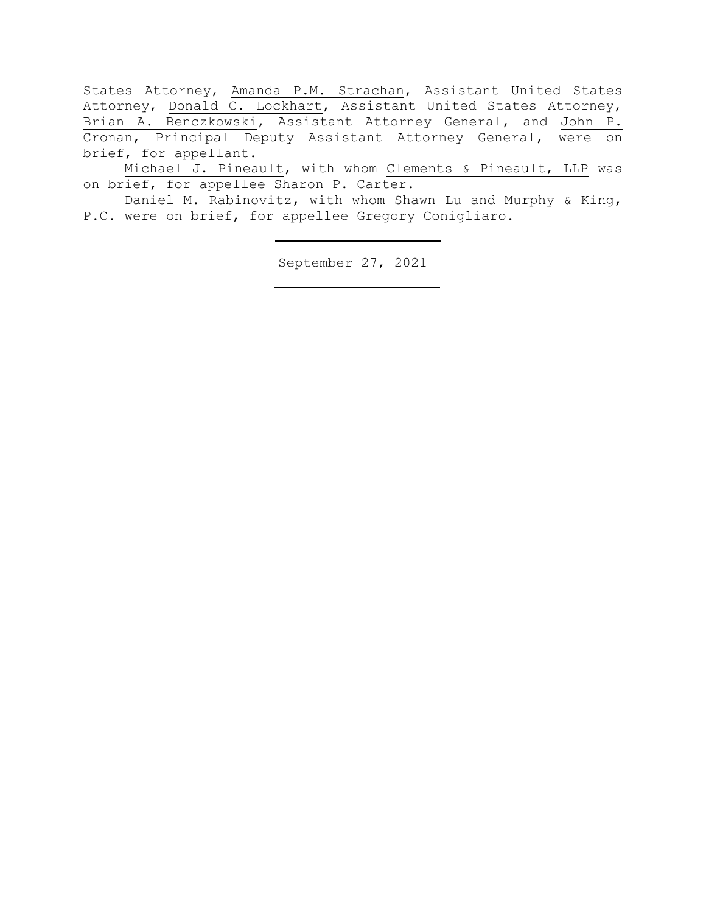States Attorney, Amanda P.M. Strachan, Assistant United States Attorney, Donald C. Lockhart, Assistant United States Attorney, Brian A. Benczkowski, Assistant Attorney General, and John P. Cronan, Principal Deputy Assistant Attorney General, were on brief, for appellant.

Michael J. Pineault, with whom Clements & Pineault, LLP was on brief, for appellee Sharon P. Carter.

Daniel M. Rabinovitz, with whom Shawn Lu and Murphy & King, P.C. were on brief, for appellee Gregory Conigliaro.

September 27, 2021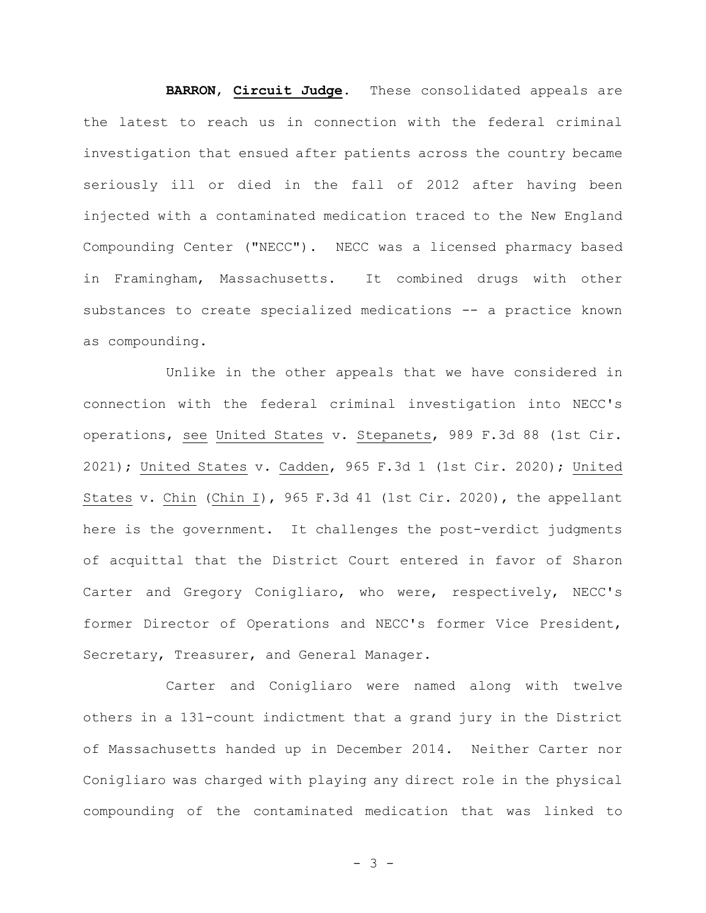**BARRON**, **Circuit Judge**. These consolidated appeals are the latest to reach us in connection with the federal criminal investigation that ensued after patients across the country became seriously ill or died in the fall of 2012 after having been injected with a contaminated medication traced to the New England Compounding Center ("NECC"). NECC was a licensed pharmacy based in Framingham, Massachusetts. It combined drugs with other substances to create specialized medications -- a practice known as compounding.

Unlike in the other appeals that we have considered in connection with the federal criminal investigation into NECC's operations, see United States v. Stepanets, 989 F.3d 88 (1st Cir. 2021); United States v. Cadden, 965 F.3d 1 (1st Cir. 2020); United States v. Chin (Chin I), 965 F.3d 41 (1st Cir. 2020), the appellant here is the government. It challenges the post-verdict judgments of acquittal that the District Court entered in favor of Sharon Carter and Gregory Conigliaro, who were, respectively, NECC's former Director of Operations and NECC's former Vice President, Secretary, Treasurer, and General Manager.

Carter and Conigliaro were named along with twelve others in a 131-count indictment that a grand jury in the District of Massachusetts handed up in December 2014. Neither Carter nor Conigliaro was charged with playing any direct role in the physical compounding of the contaminated medication that was linked to

- 3 -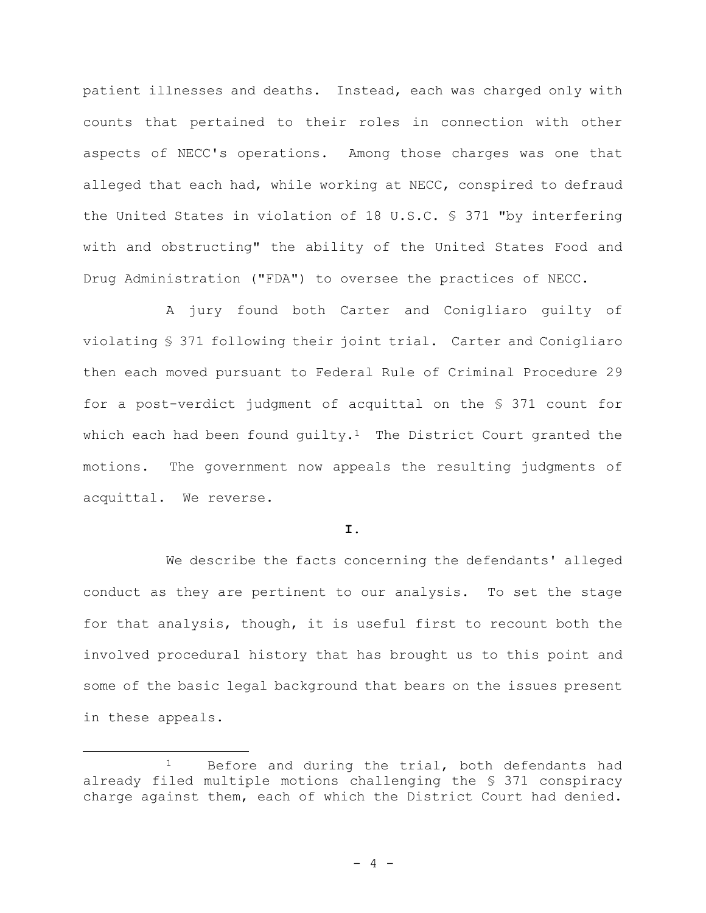patient illnesses and deaths. Instead, each was charged only with counts that pertained to their roles in connection with other aspects of NECC's operations. Among those charges was one that alleged that each had, while working at NECC, conspired to defraud the United States in violation of 18 U.S.C. § 371 "by interfering with and obstructing" the ability of the United States Food and Drug Administration ("FDA") to oversee the practices of NECC.

A jury found both Carter and Conigliaro guilty of violating § 371 following their joint trial.Carter and Conigliaro then each moved pursuant to Federal Rule of Criminal Procedure 29 for a post-verdict judgment of acquittal on the § 371 count for which each had been found quilty.<sup>1</sup> The District Court granted the motions.The government now appeals the resulting judgments of acquittal. We reverse.

# **I.**

We describe the facts concerning the defendants' alleged conduct as they are pertinent to our analysis. To set the stage for that analysis, though, it is useful first to recount both the involved procedural history that has brought us to this point and some of the basic legal background that bears on the issues present in these appeals.

<sup>&</sup>lt;sup>1</sup> Before and during the trial, both defendants had already filed multiple motions challenging the § 371 conspiracy charge against them, each of which the District Court had denied.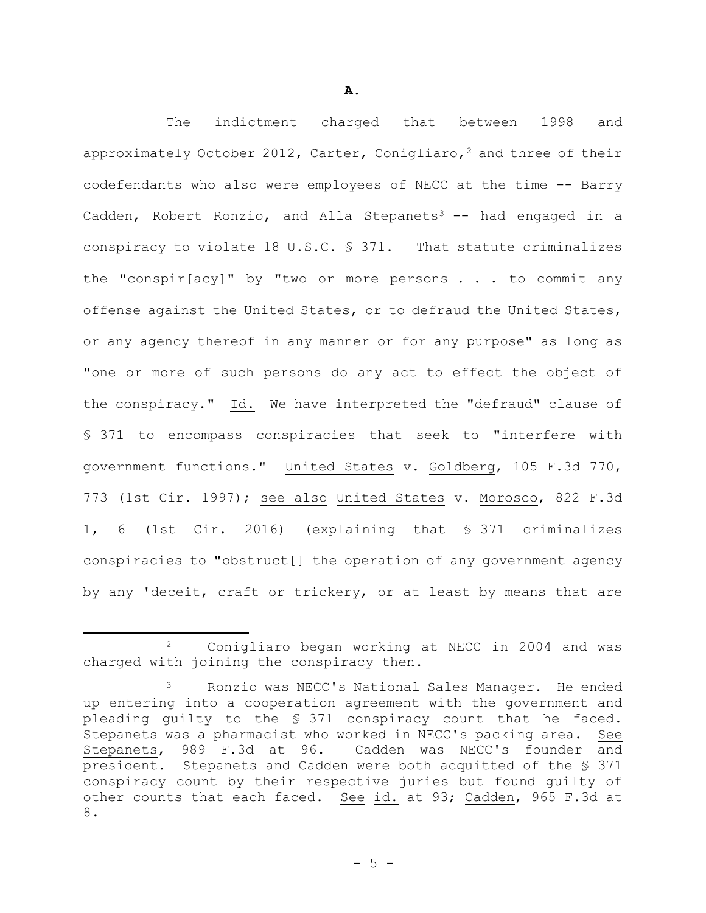The indictment charged that between 1998 and approximately October 2012, Carter, Conigliaro,<sup>2</sup> and three of their codefendants who also were employees of NECC at the time -- Barry Cadden, Robert Ronzio, and Alla Stepanets<sup>3</sup>  $-$  had engaged in a conspiracy to violate 18 U.S.C. § 371. That statute criminalizes the "conspir[acy]" by "two or more persons . . . to commit any offense against the United States, or to defraud the United States, or any agency thereof in any manner or for any purpose" as long as "one or more of such persons do any act to effect the object of the conspiracy." Id. We have interpreted the "defraud" clause of § 371 to encompass conspiracies that seek to "interfere with government functions." United States v. Goldberg, 105 F.3d 770, 773 (1st Cir. 1997); see also United States v. Morosco, 822 F.3d 1, 6 (1st Cir. 2016) (explaining that § 371 criminalizes conspiracies to "obstruct[] the operation of any government agency by any 'deceit, craft or trickery, or at least by means that are

<sup>2</sup> Conigliaro began working at NECC in 2004 and was charged with joining the conspiracy then.

Ronzio was NECC's National Sales Manager. He ended up entering into a cooperation agreement with the government and pleading guilty to the § 371 conspiracy count that he faced. Stepanets was a pharmacist who worked in NECC's packing area. See Stepanets, 989 F.3d at 96. Cadden was NECC's founder and president. Stepanets and Cadden were both acquitted of the § 371 conspiracy count by their respective juries but found guilty of other counts that each faced. See id. at 93; Cadden, 965 F.3d at 8.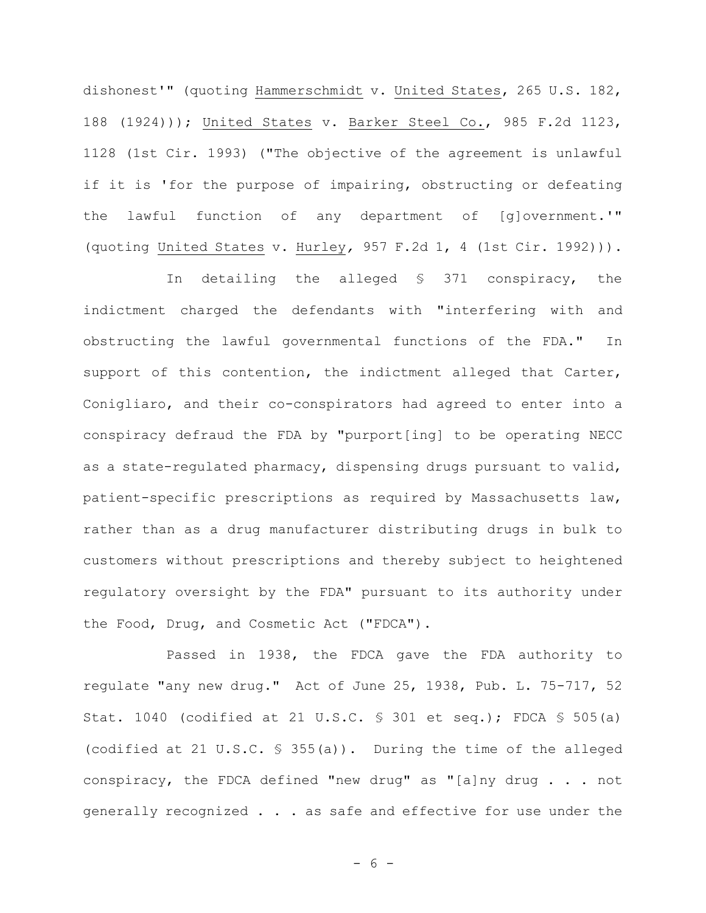dishonest'" (quoting Hammerschmidt v. United States, 265 U.S. 182, 188 (1924))); United States v. Barker Steel Co., 985 F.2d 1123, 1128 (1st Cir. 1993) ("The objective of the agreement is unlawful if it is 'for the purpose of impairing, obstructing or defeating the lawful function of any department of [g]overnment.'" (quoting United States v. Hurley*,* 957 F.2d 1, 4 (1st Cir. 1992))).

In detailing the alleged § 371 conspiracy, the indictment charged the defendants with "interfering with and obstructing the lawful governmental functions of the FDA." In support of this contention, the indictment alleged that Carter, Conigliaro, and their co-conspirators had agreed to enter into a conspiracy defraud the FDA by "purport[ing] to be operating NECC as a state-regulated pharmacy, dispensing drugs pursuant to valid, patient-specific prescriptions as required by Massachusetts law, rather than as a drug manufacturer distributing drugs in bulk to customers without prescriptions and thereby subject to heightened regulatory oversight by the FDA" pursuant to its authority under the Food, Drug, and Cosmetic Act ("FDCA").

Passed in 1938, the FDCA gave the FDA authority to regulate "any new drug." Act of June 25, 1938, Pub. L. 75-717, 52 Stat. 1040 (codified at 21 U.S.C. § 301 et seq.); FDCA § 505(a) (codified at 21 U.S.C. § 355(a)). During the time of the alleged conspiracy, the FDCA defined "new drug" as "[a]ny drug . . . not generally recognized . . . as safe and effective for use under the

- 6 -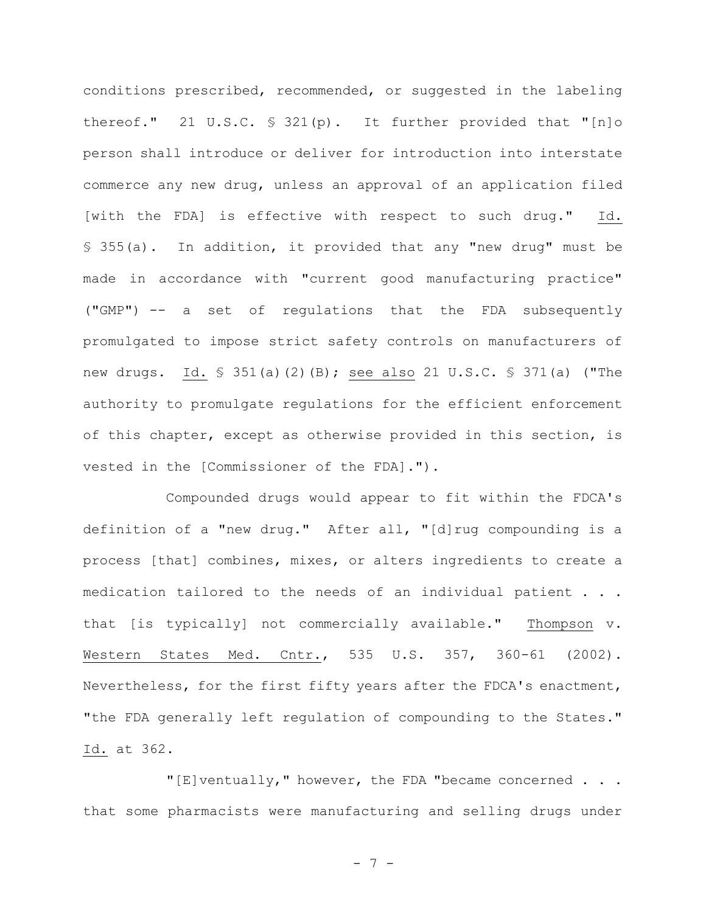conditions prescribed, recommended, or suggested in the labeling thereof." 21 U.S.C.  $\S$  321(p). It further provided that "[n]o person shall introduce or deliver for introduction into interstate commerce any new drug, unless an approval of an application filed [with the FDA] is effective with respect to such drug." Id. § 355(a). In addition, it provided that any "new drug" must be made in accordance with "current good manufacturing practice" ("GMP") -- a set of regulations that the FDA subsequently promulgated to impose strict safety controls on manufacturers of new drugs. Id. § 351(a)(2)(B); see also 21 U.S.C. § 371(a) ("The authority to promulgate regulations for the efficient enforcement of this chapter, except as otherwise provided in this section, is vested in the [Commissioner of the FDA].").

Compounded drugs would appear to fit within the FDCA's definition of a "new drug." After all, "[d]rug compounding is a process [that] combines, mixes, or alters ingredients to create a medication tailored to the needs of an individual patient . . . that [is typically] not commercially available." Thompson v. Western States Med. Cntr., 535 U.S. 357, 360-61 (2002). Nevertheless, for the first fifty years after the FDCA's enactment, "the FDA generally left regulation of compounding to the States." Id. at 362.

"[E]ventually," however, the FDA "became concerned . . . that some pharmacists were manufacturing and selling drugs under

- 7 -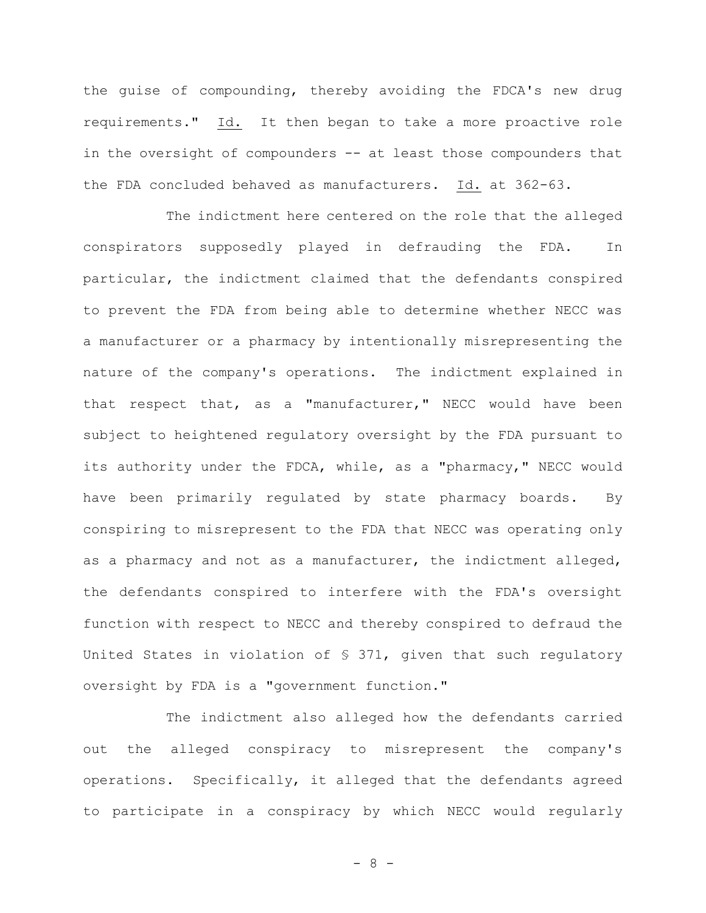the guise of compounding, thereby avoiding the FDCA's new drug requirements." Id. It then began to take a more proactive role in the oversight of compounders -- at least those compounders that the FDA concluded behaved as manufacturers. Id. at 362-63.

The indictment here centered on the role that the alleged conspirators supposedly played in defrauding the FDA. In particular, the indictment claimed that the defendants conspired to prevent the FDA from being able to determine whether NECC was a manufacturer or a pharmacy by intentionally misrepresenting the nature of the company's operations. The indictment explained in that respect that, as a "manufacturer," NECC would have been subject to heightened regulatory oversight by the FDA pursuant to its authority under the FDCA, while, as a "pharmacy," NECC would have been primarily regulated by state pharmacy boards. By conspiring to misrepresent to the FDA that NECC was operating only as a pharmacy and not as a manufacturer, the indictment alleged, the defendants conspired to interfere with the FDA's oversight function with respect to NECC and thereby conspired to defraud the United States in violation of § 371, given that such regulatory oversight by FDA is a "government function."

The indictment also alleged how the defendants carried out the alleged conspiracy to misrepresent the company's operations. Specifically, it alleged that the defendants agreed to participate in a conspiracy by which NECC would regularly

- 8 -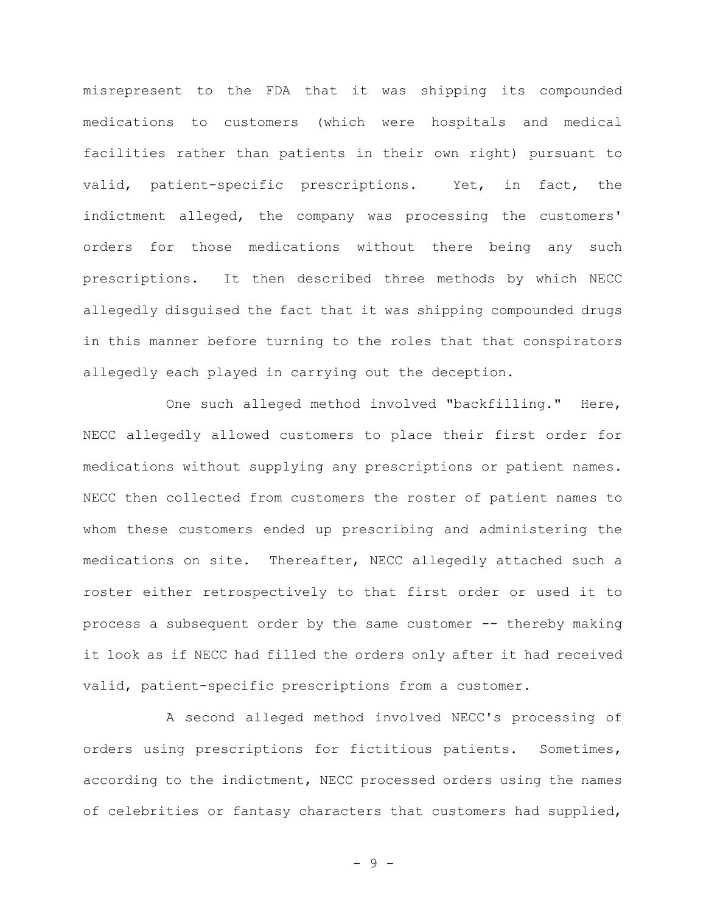misrepresent to the FDA that it was shipping its compounded medications to customers (which were hospitals and medical facilities rather than patients in their own right) pursuant to valid, patient-specific prescriptions. Yet, in fact, the indictment alleged, the company was processing the customers' orders for those medications without there being any such prescriptions. It then described three methods by which NECC allegedly disguised the fact that it was shipping compounded drugs in this manner before turning to the roles that that conspirators allegedly each played in carrying out the deception.

One such alleged method involved "backfilling." Here, NECC allegedly allowed customers to place their first order for medications without supplying any prescriptions or patient names. NECC then collected from customers the roster of patient names to whom these customers ended up prescribing and administering the medications on site. Thereafter, NECC allegedly attached such a roster either retrospectively to that first order or used it to process a subsequent order by the same customer -- thereby making it look as if NECC had filled the orders only after it had received valid, patient-specific prescriptions from a customer.

A second alleged method involved NECC's processing of orders using prescriptions for fictitious patients.Sometimes, according to the indictment, NECC processed orders using the names of celebrities or fantasy characters that customers had supplied,

- 9 -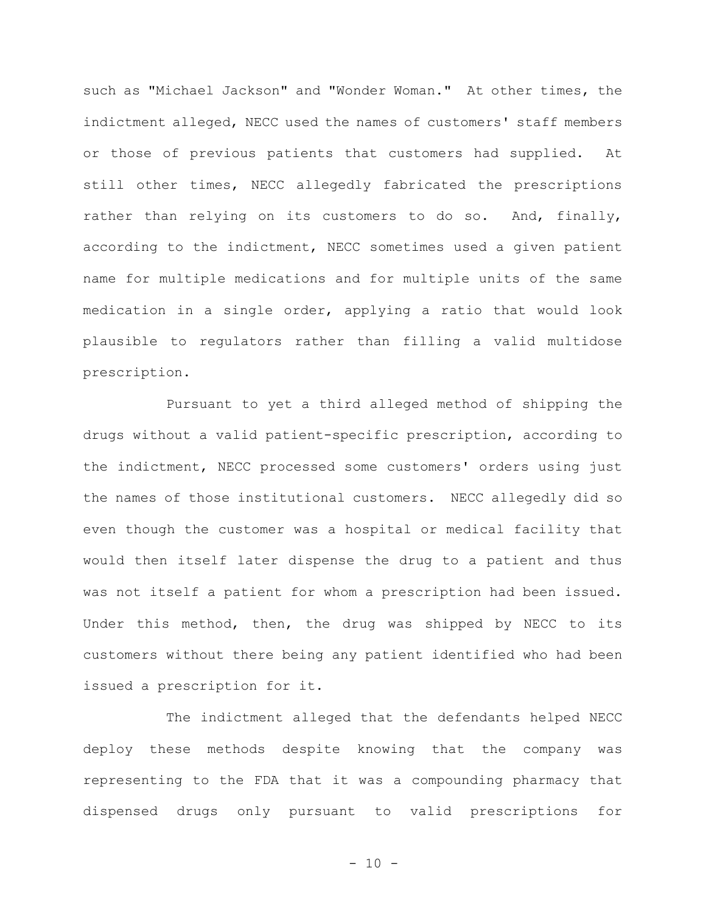such as "Michael Jackson" and "Wonder Woman."At other times, the indictment alleged, NECC used the names of customers' staff members or those of previous patients that customers had supplied. At still other times, NECC allegedly fabricated the prescriptions rather than relying on its customers to do so.And, finally, according to the indictment, NECC sometimes used a given patient name for multiple medications and for multiple units of the same medication in a single order, applying a ratio that would look plausible to regulators rather than filling a valid multidose prescription.

Pursuant to yet a third alleged method of shipping the drugs without a valid patient-specific prescription, according to the indictment, NECC processed some customers' orders using just the names of those institutional customers. NECC allegedly did so even though the customer was a hospital or medical facility that would then itself later dispense the drug to a patient and thus was not itself a patient for whom a prescription had been issued. Under this method, then, the drug was shipped by NECC to its customers without there being any patient identified who had been issued a prescription for it.

The indictment alleged that the defendants helped NECC deploy these methods despite knowing that the company was representing to the FDA that it was a compounding pharmacy that dispensed drugs only pursuant to valid prescriptions for

 $- 10 -$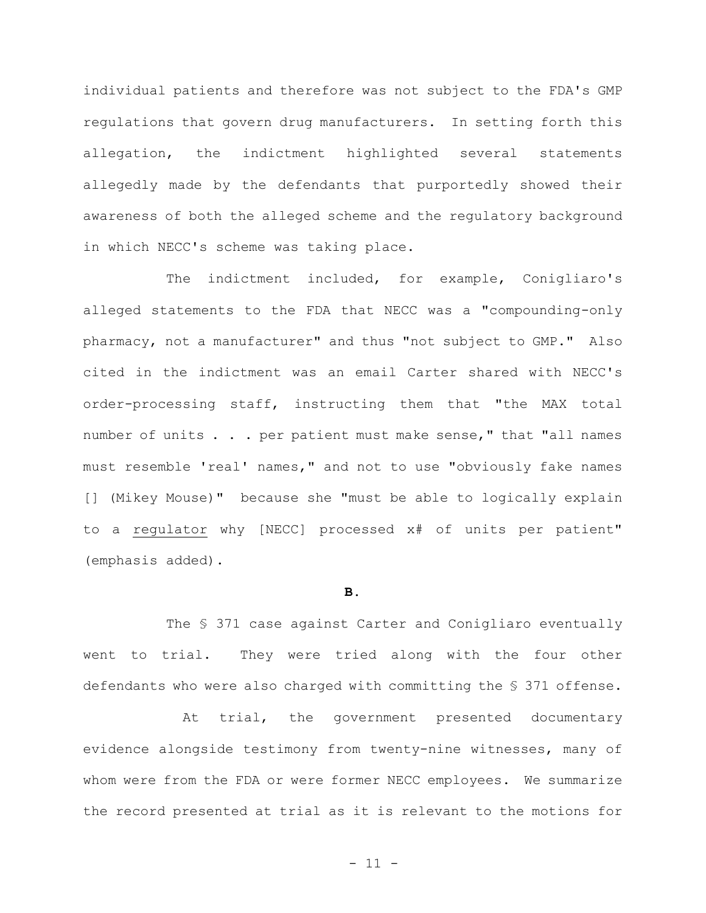individual patients and therefore was not subject to the FDA's GMP regulations that govern drug manufacturers.In setting forth this allegation, the indictment highlighted several statements allegedly made by the defendants that purportedly showed their awareness of both the alleged scheme and the regulatory background in which NECC's scheme was taking place.

The indictment included, for example, Conigliaro's alleged statements to the FDA that NECC was a "compounding-only pharmacy, not a manufacturer" and thus "not subject to GMP." Also cited in the indictment was an email Carter shared with NECC's order-processing staff, instructing them that "the MAX total number of units . . . per patient must make sense," that "all names must resemble 'real' names," and not to use "obviously fake names [] (Mikey Mouse)" because she "must be able to logically explain to a regulator why [NECC] processed x# of units per patient" (emphasis added).

#### **B.**

The § 371 case against Carter and Conigliaro eventually went to trial. They were tried along with the four other defendants who were also charged with committing the § 371 offense.

 At trial, the government presented documentary evidence alongside testimony from twenty-nine witnesses, many of whom were from the FDA or were former NECC employees. We summarize the record presented at trial as it is relevant to the motions for

 $- 11 -$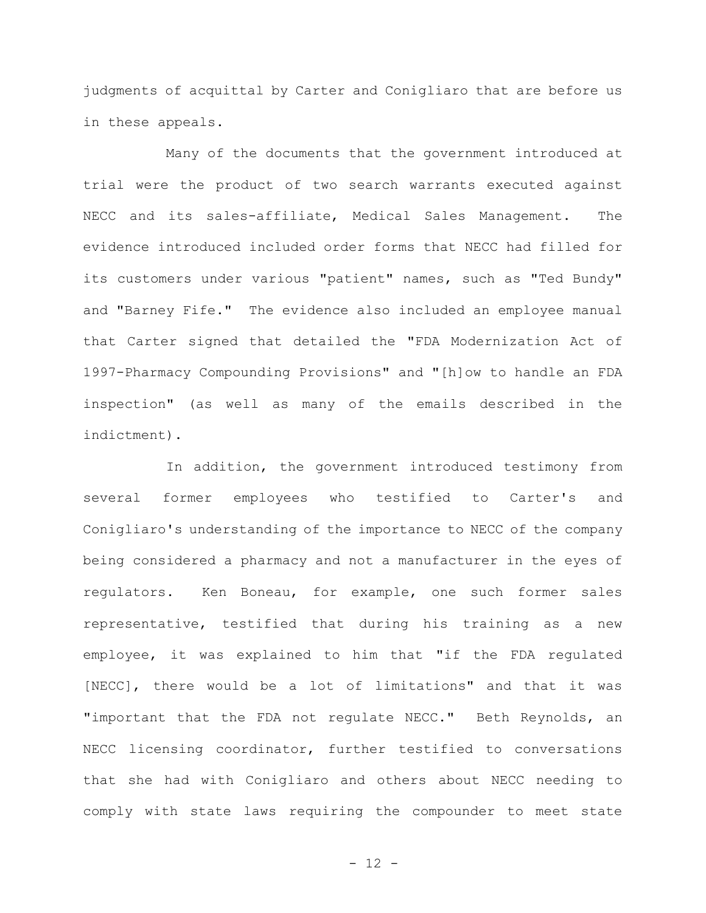judgments of acquittal by Carter and Conigliaro that are before us in these appeals.

Many of the documents that the government introduced at trial were the product of two search warrants executed against NECC and its sales-affiliate, Medical Sales Management. The evidence introduced included order forms that NECC had filled for its customers under various "patient" names, such as "Ted Bundy" and "Barney Fife." The evidence also included an employee manual that Carter signed that detailed the "FDA Modernization Act of 1997-Pharmacy Compounding Provisions" and "[h]ow to handle an FDA inspection" (as well as many of the emails described in the indictment).

In addition, the government introduced testimony from several former employees who testified to Carter's and Conigliaro's understanding of the importance to NECC of the company being considered a pharmacy and not a manufacturer in the eyes of regulators. Ken Boneau, for example, one such former sales representative, testified that during his training as a new employee, it was explained to him that "if the FDA regulated [NECC], there would be a lot of limitations" and that it was "important that the FDA not regulate NECC." Beth Reynolds, an NECC licensing coordinator, further testified to conversations that she had with Conigliaro and others about NECC needing to comply with state laws requiring the compounder to meet state

- 12 -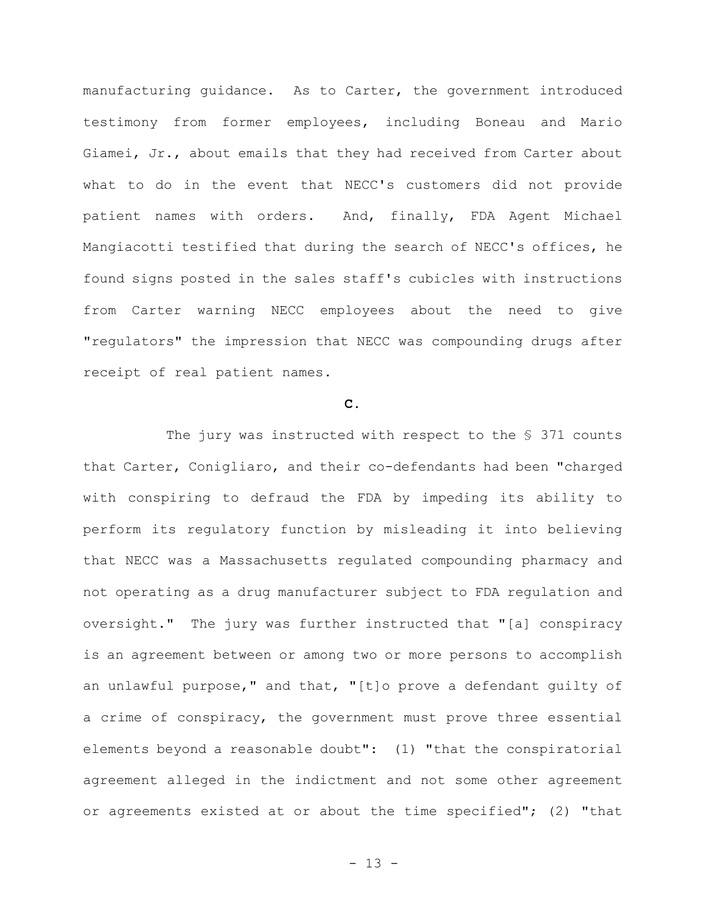manufacturing guidance. As to Carter, the government introduced testimony from former employees, including Boneau and Mario Giamei, Jr., about emails that they had received from Carter about what to do in the event that NECC's customers did not provide patient names with orders. And, finally, FDA Agent Michael Mangiacotti testified that during the search of NECC's offices, he found signs posted in the sales staff's cubicles with instructions from Carter warning NECC employees about the need to give "regulators" the impression that NECC was compounding drugs after receipt of real patient names.

# **C.**

The jury was instructed with respect to the § 371 counts that Carter, Conigliaro, and their co-defendants had been "charged with conspiring to defraud the FDA by impeding its ability to perform its regulatory function by misleading it into believing that NECC was a Massachusetts regulated compounding pharmacy and not operating as a drug manufacturer subject to FDA regulation and oversight." The jury was further instructed that "[a] conspiracy is an agreement between or among two or more persons to accomplish an unlawful purpose," and that, "[t]o prove a defendant guilty of a crime of conspiracy, the government must prove three essential elements beyond a reasonable doubt": (1) "that the conspiratorial agreement alleged in the indictment and not some other agreement or agreements existed at or about the time specified"; (2) "that

- 13 -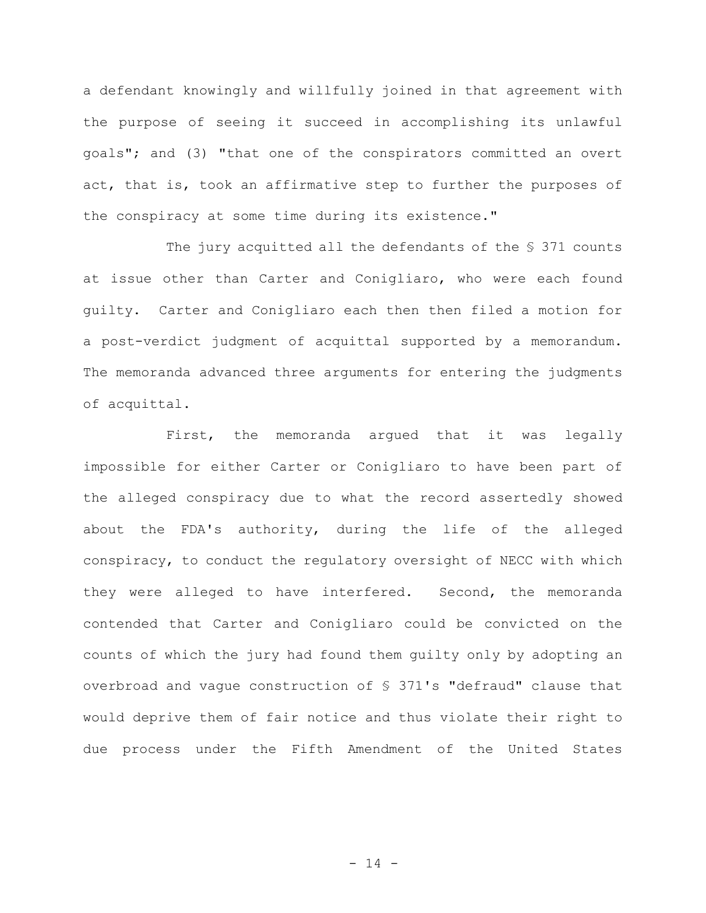a defendant knowingly and willfully joined in that agreement with the purpose of seeing it succeed in accomplishing its unlawful goals"; and (3) "that one of the conspirators committed an overt act, that is, took an affirmative step to further the purposes of the conspiracy at some time during its existence."

The jury acquitted all the defendants of the § 371 counts at issue other than Carter and Conigliaro, who were each found guilty. Carter and Conigliaro each then then filed a motion for a post-verdict judgment of acquittal supported by a memorandum. The memoranda advanced three arguments for entering the judgments of acquittal.

First, the memoranda argued that it was legally impossible for either Carter or Conigliaro to have been part of the alleged conspiracy due to what the record assertedly showed about the FDA's authority, during the life of the alleged conspiracy, to conduct the regulatory oversight of NECC with which they were alleged to have interfered. Second, the memoranda contended that Carter and Conigliaro could be convicted on the counts of which the jury had found them guilty only by adopting an overbroad and vague construction of § 371's "defraud" clause that would deprive them of fair notice and thus violate their right to due process under the Fifth Amendment of the United States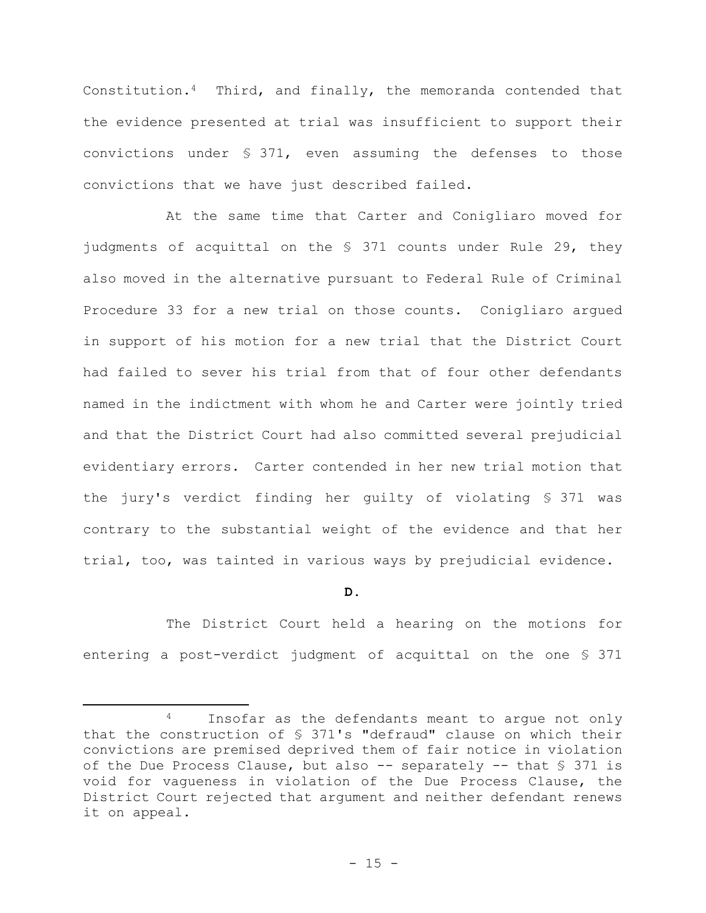Constitution.4 Third, and finally, the memoranda contended that the evidence presented at trial was insufficient to support their convictions under § 371, even assuming the defenses to those convictions that we have just described failed.

At the same time that Carter and Conigliaro moved for judgments of acquittal on the § 371 counts under Rule 29, they also moved in the alternative pursuant to Federal Rule of Criminal Procedure 33 for a new trial on those counts.Conigliaro argued in support of his motion for a new trial that the District Court had failed to sever his trial from that of four other defendants named in the indictment with whom he and Carter were jointly tried and that the District Court had also committed several prejudicial evidentiary errors.Carter contended in her new trial motion that the jury's verdict finding her guilty of violating § 371 was contrary to the substantial weight of the evidence and that her trial, too, was tainted in various ways by prejudicial evidence.

## **D.**

The District Court held a hearing on the motions for entering a post-verdict judgment of acquittal on the one § 371

<sup>4</sup> Insofar as the defendants meant to argue not only that the construction of § 371's "defraud" clause on which their convictions are premised deprived them of fair notice in violation of the Due Process Clause, but also -- separately -- that § 371 is void for vagueness in violation of the Due Process Clause, the District Court rejected that argument and neither defendant renews it on appeal.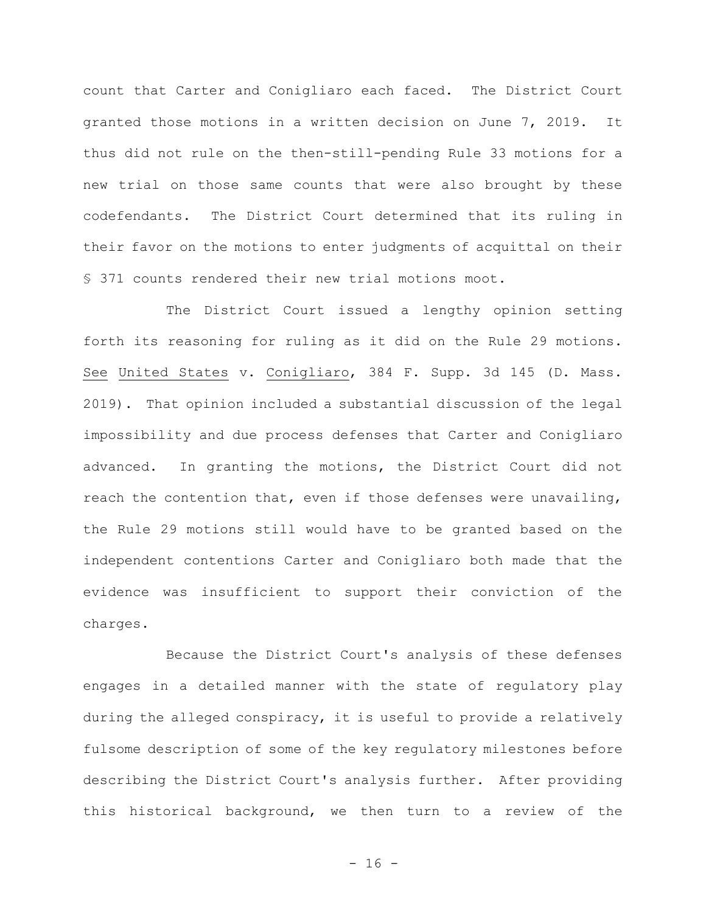count that Carter and Conigliaro each faced. The District Court granted those motions in a written decision on June 7, 2019. It thus did not rule on the then-still-pending Rule 33 motions for a new trial on those same counts that were also brought by these codefendants. The District Court determined that its ruling in their favor on the motions to enter judgments of acquittal on their § 371 counts rendered their new trial motions moot.

The District Court issued a lengthy opinion setting forth its reasoning for ruling as it did on the Rule 29 motions. See United States v. Conigliaro, 384 F. Supp. 3d 145 (D. Mass. 2019). That opinion included a substantial discussion of the legal impossibility and due process defenses that Carter and Conigliaro advanced. In granting the motions, the District Court did not reach the contention that, even if those defenses were unavailing, the Rule 29 motions still would have to be granted based on the independent contentions Carter and Conigliaro both made that the evidence was insufficient to support their conviction of the charges.

Because the District Court's analysis of these defenses engages in a detailed manner with the state of regulatory play during the alleged conspiracy, it is useful to provide a relatively fulsome description of some of the key regulatory milestones before describing the District Court's analysis further. After providing this historical background, we then turn to a review of the

 $- 16 -$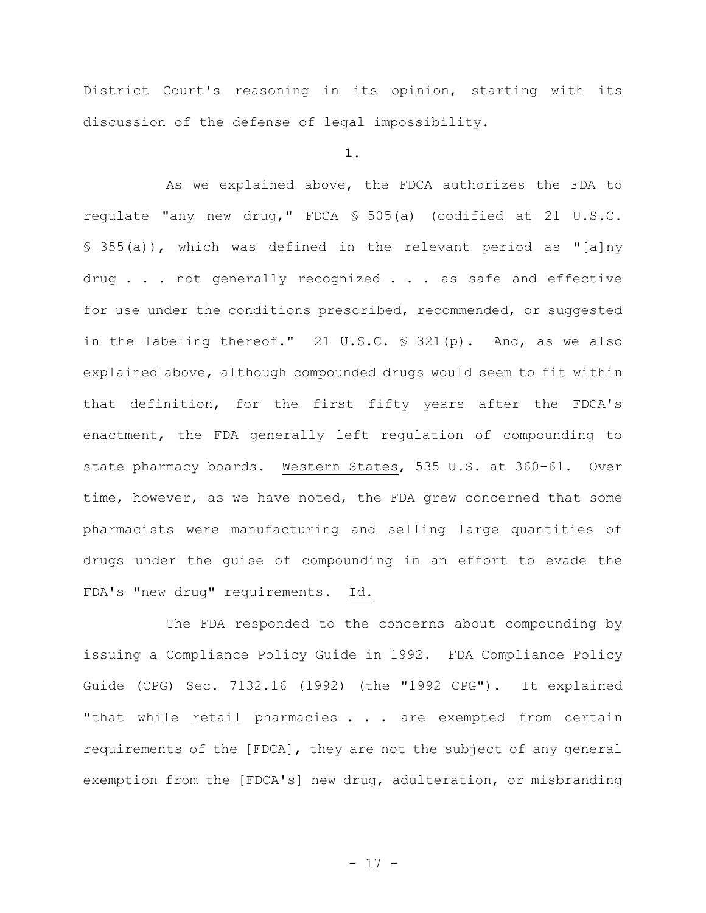District Court's reasoning in its opinion, starting with its discussion of the defense of legal impossibility.

# **1.**

As we explained above, the FDCA authorizes the FDA to regulate "any new drug," FDCA § 505(a) (codified at 21 U.S.C. § 355(a)), which was defined in the relevant period as "[a]ny drug . . . not generally recognized . . . as safe and effective for use under the conditions prescribed, recommended, or suggested in the labeling thereof." 21 U.S.C. § 321(p). And, as we also explained above, although compounded drugs would seem to fit within that definition, for the first fifty years after the FDCA's enactment, the FDA generally left regulation of compounding to state pharmacy boards. Western States, 535 U.S. at 360-61. Over time, however, as we have noted, the FDA grew concerned that some pharmacists were manufacturing and selling large quantities of drugs under the guise of compounding in an effort to evade the FDA's "new drug" requirements. Id.

The FDA responded to the concerns about compounding by issuing a Compliance Policy Guide in 1992. FDA Compliance Policy Guide (CPG) Sec. 7132.16 (1992) (the "1992 CPG"). It explained "that while retail pharmacies . . . are exempted from certain requirements of the [FDCA], they are not the subject of any general exemption from the [FDCA's] new drug, adulteration, or misbranding

- 17 -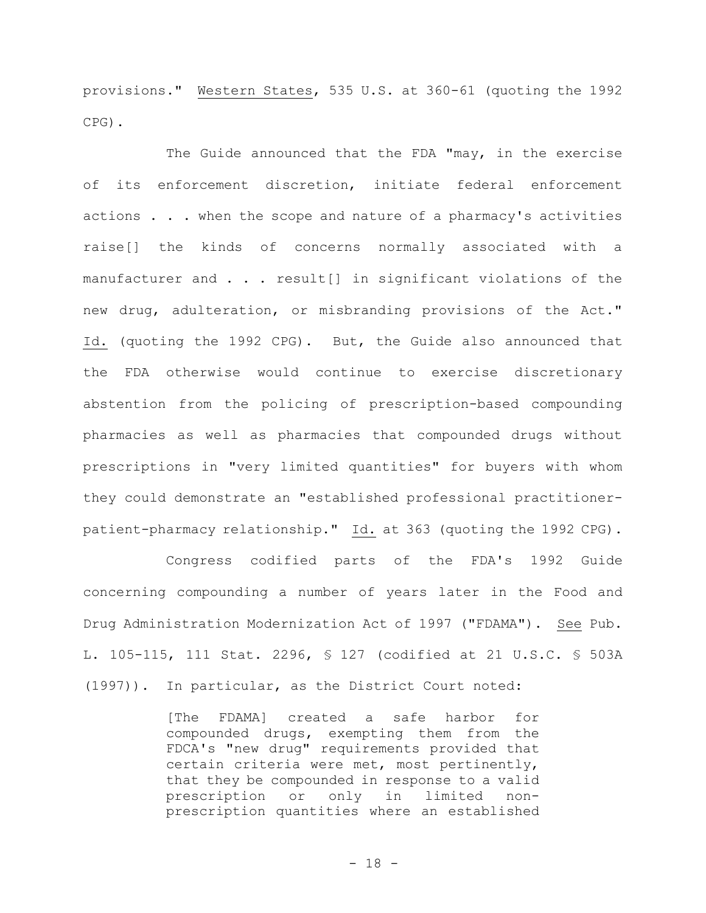provisions." Western States, 535 U.S. at 360-61 (quoting the 1992 CPG).

The Guide announced that the FDA "may, in the exercise of its enforcement discretion, initiate federal enforcement actions . . . when the scope and nature of a pharmacy's activities raise[] the kinds of concerns normally associated with a manufacturer and . . . result[] in significant violations of the new drug, adulteration, or misbranding provisions of the Act." Id. (quoting the 1992 CPG). But, the Guide also announced that the FDA otherwise would continue to exercise discretionary abstention from the policing of prescription-based compounding pharmacies as well as pharmacies that compounded drugs without prescriptions in "very limited quantities" for buyers with whom they could demonstrate an "established professional practitionerpatient-pharmacy relationship." Id. at 363 (quoting the 1992 CPG).

Congress codified parts of the FDA's 1992 Guide concerning compounding a number of years later in the Food and Drug Administration Modernization Act of 1997 ("FDAMA"). See Pub. L. 105-115, 111 Stat. 2296, § 127 (codified at 21 U.S.C. § 503A (1997)). In particular, as the District Court noted:

> [The FDAMA] created a safe harbor for compounded drugs, exempting them from the FDCA's "new drug" requirements provided that certain criteria were met, most pertinently, that they be compounded in response to a valid prescription or only in limited nonprescription quantities where an established

> > - 18 -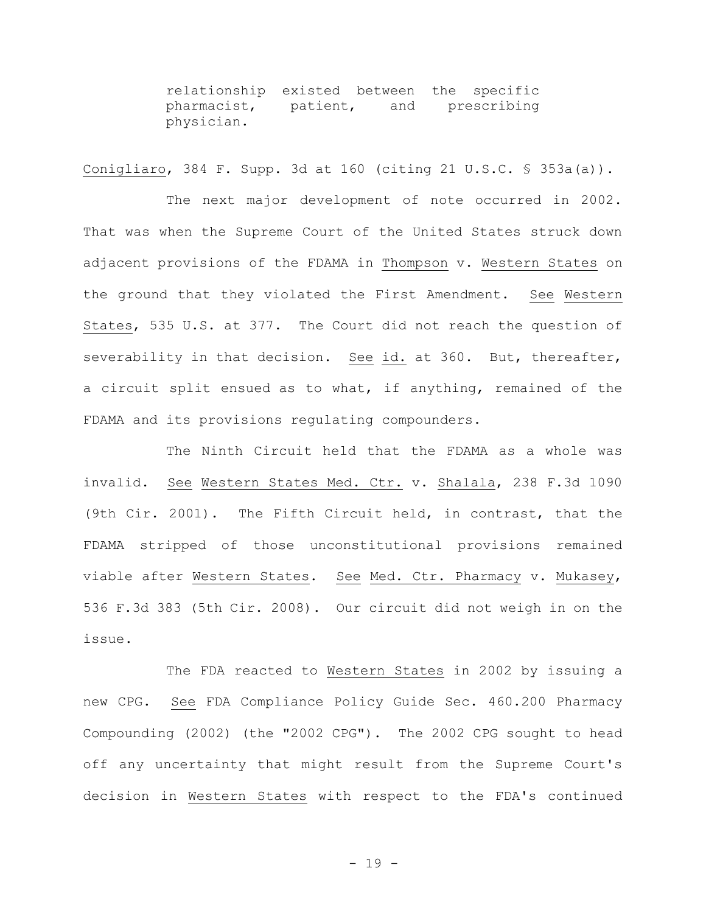relationship existed between the specific pharmacist, patient, and prescribing physician.

Conigliaro, 384 F. Supp. 3d at 160 (citing 21 U.S.C. § 353a(a)).

The next major development of note occurred in 2002. That was when the Supreme Court of the United States struck down adjacent provisions of the FDAMA in Thompson v. Western States on the ground that they violated the First Amendment. See Western States, 535 U.S. at 377. The Court did not reach the question of severability in that decision. See id. at 360. But, thereafter, a circuit split ensued as to what, if anything, remained of the FDAMA and its provisions regulating compounders.

The Ninth Circuit held that the FDAMA as a whole was invalid. See Western States Med. Ctr. v. Shalala, 238 F.3d 1090 (9th Cir. 2001). The Fifth Circuit held, in contrast, that the FDAMA stripped of those unconstitutional provisions remained viable after Western States. See Med. Ctr. Pharmacy v. Mukasey, 536 F.3d 383 (5th Cir. 2008). Our circuit did not weigh in on the issue.

The FDA reacted to Western States in 2002 by issuing a new CPG. See FDA Compliance Policy Guide Sec. 460.200 Pharmacy Compounding (2002) (the "2002 CPG"). The 2002 CPG sought to head off any uncertainty that might result from the Supreme Court's decision in Western States with respect to the FDA's continued

- 19 -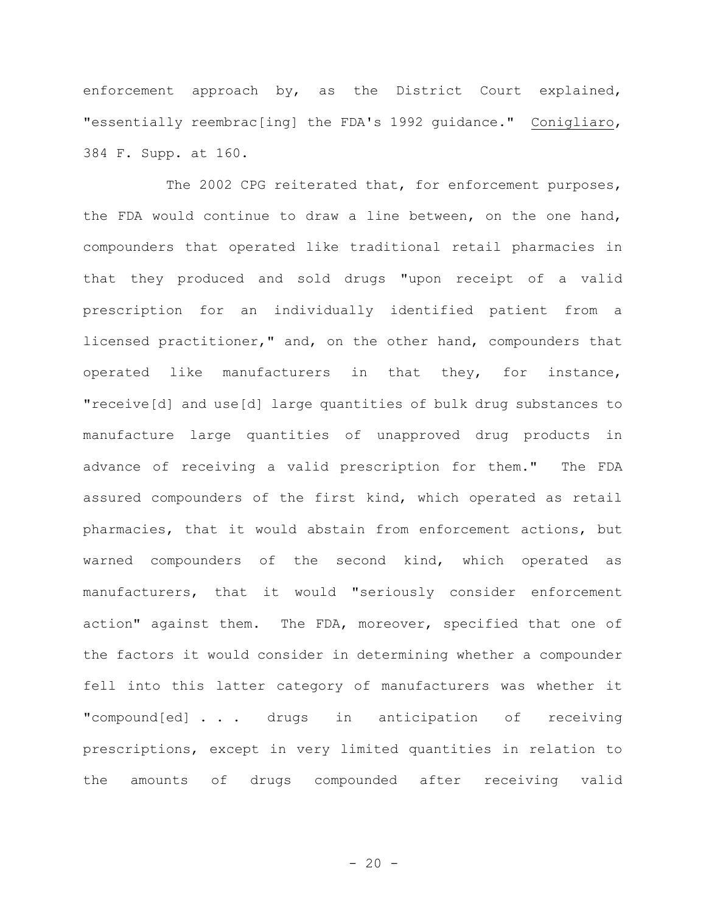enforcement approach by, as the District Court explained, "essentially reembrac[ing] the FDA's 1992 guidance." Conigliaro, 384 F. Supp. at 160.

The 2002 CPG reiterated that, for enforcement purposes, the FDA would continue to draw a line between, on the one hand, compounders that operated like traditional retail pharmacies in that they produced and sold drugs "upon receipt of a valid prescription for an individually identified patient from a licensed practitioner," and, on the other hand, compounders that operated like manufacturers in that they, for instance, "receive[d] and use[d] large quantities of bulk drug substances to manufacture large quantities of unapproved drug products in advance of receiving a valid prescription for them." The FDA assured compounders of the first kind, which operated as retail pharmacies, that it would abstain from enforcement actions, but warned compounders of the second kind, which operated as manufacturers, that it would "seriously consider enforcement action" against them. The FDA, moreover, specified that one of the factors it would consider in determining whether a compounder fell into this latter category of manufacturers was whether it "compound[ed] . . . drugs in anticipation of receiving prescriptions, except in very limited quantities in relation to the amounts of drugs compounded after receiving valid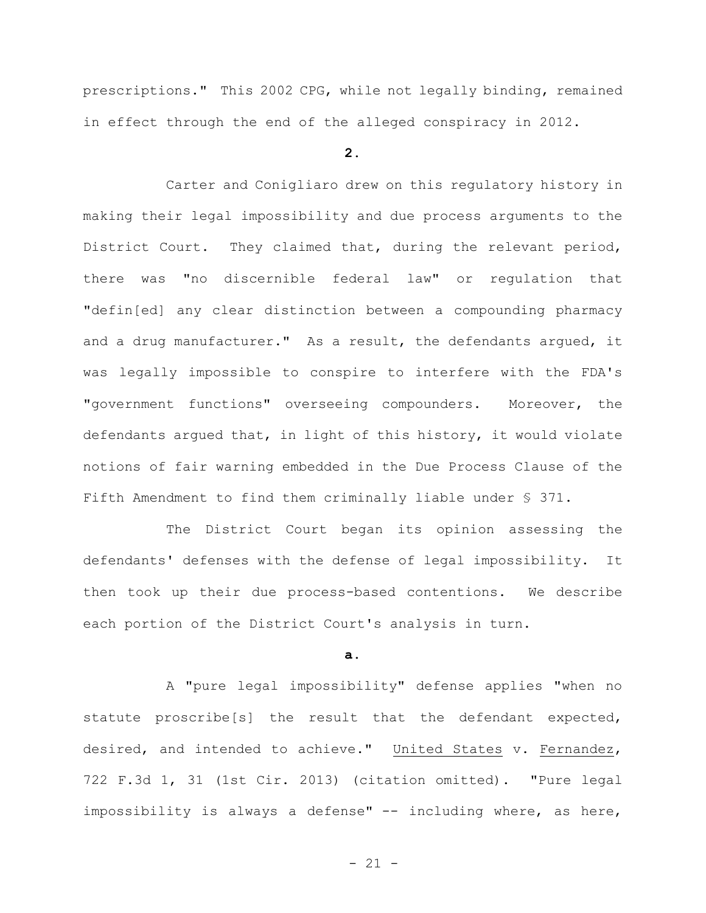prescriptions." This 2002 CPG, while not legally binding, remained in effect through the end of the alleged conspiracy in 2012.

# **2.**

Carter and Conigliaro drew on this regulatory history in making their legal impossibility and due process arguments to the District Court. They claimed that, during the relevant period, there was "no discernible federal law" or regulation that "defin[ed] any clear distinction between a compounding pharmacy and a drug manufacturer." As a result, the defendants argued, it was legally impossible to conspire to interfere with the FDA's "government functions" overseeing compounders. Moreover, the defendants argued that, in light of this history, it would violate notions of fair warning embedded in the Due Process Clause of the Fifth Amendment to find them criminally liable under § 371.

The District Court began its opinion assessing the defendants' defenses with the defense of legal impossibility. It then took up their due process-based contentions. We describe each portion of the District Court's analysis in turn.

#### **a.**

A "pure legal impossibility" defense applies "when no statute proscribe[s] the result that the defendant expected, desired, and intended to achieve." United States v. Fernandez, 722 F.3d 1, 31 (1st Cir. 2013) (citation omitted). "Pure legal impossibility is always a defense" -- including where, as here,

 $- 21 -$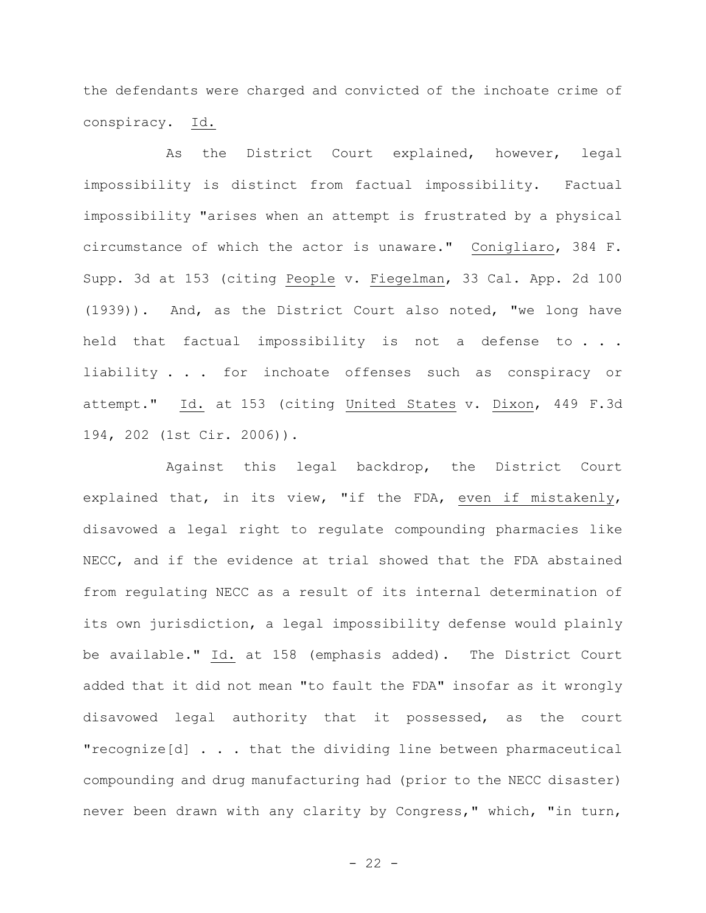the defendants were charged and convicted of the inchoate crime of conspiracy. Id.

As the District Court explained, however, legal impossibility is distinct from factual impossibility. Factual impossibility "arises when an attempt is frustrated by a physical circumstance of which the actor is unaware." Conigliaro, 384 F. Supp. 3d at 153 (citing People v. Fiegelman, 33 Cal. App. 2d 100 (1939)). And, as the District Court also noted, "we long have held that factual impossibility is not a defense to . . . liability . . . for inchoate offenses such as conspiracy or attempt." Id. at 153 (citing United States v. Dixon, 449 F.3d 194, 202 (1st Cir. 2006)).

Against this legal backdrop, the District Court explained that, in its view, "if the FDA, even if mistakenly, disavowed a legal right to regulate compounding pharmacies like NECC, and if the evidence at trial showed that the FDA abstained from regulating NECC as a result of its internal determination of its own jurisdiction, a legal impossibility defense would plainly be available." Id. at 158 (emphasis added). The District Court added that it did not mean "to fault the FDA" insofar as it wrongly disavowed legal authority that it possessed, as the court "recognize[d] . . . that the dividing line between pharmaceutical compounding and drug manufacturing had (prior to the NECC disaster) never been drawn with any clarity by Congress," which, "in turn,

 $- 22 -$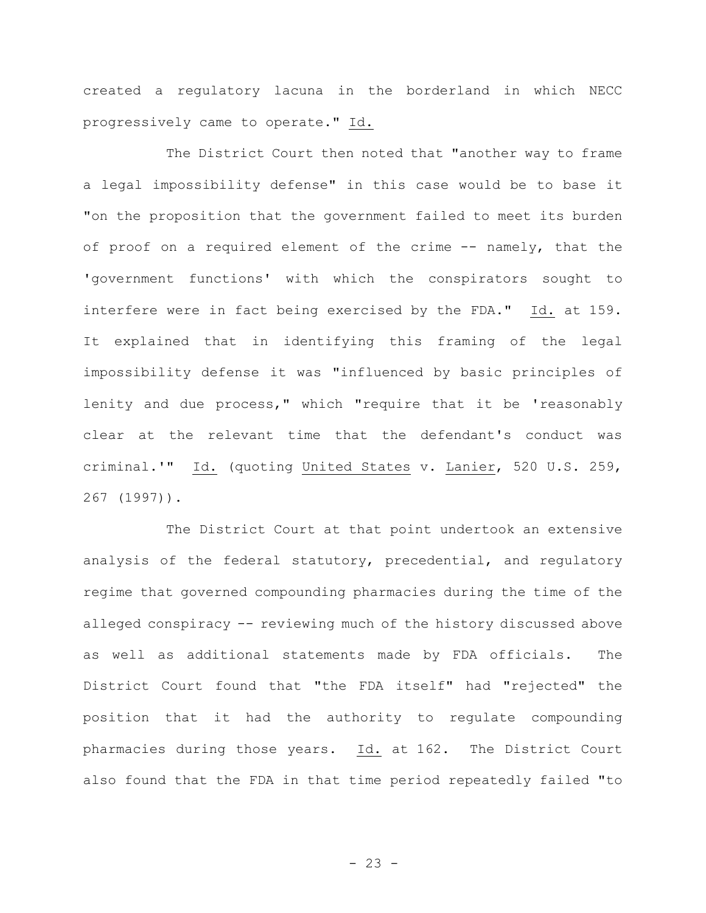created a regulatory lacuna in the borderland in which NECC progressively came to operate." Id.

The District Court then noted that "another way to frame a legal impossibility defense" in this case would be to base it "on the proposition that the government failed to meet its burden of proof on a required element of the crime -- namely, that the 'government functions' with which the conspirators sought to interfere were in fact being exercised by the FDA." Id. at 159. It explained that in identifying this framing of the legal impossibility defense it was "influenced by basic principles of lenity and due process," which "require that it be 'reasonably clear at the relevant time that the defendant's conduct was criminal.'" Id. (quoting United States v. Lanier, 520 U.S. 259, 267 (1997)).

The District Court at that point undertook an extensive analysis of the federal statutory, precedential, and regulatory regime that governed compounding pharmacies during the time of the alleged conspiracy -- reviewing much of the history discussed above as well as additional statements made by FDA officials. The District Court found that "the FDA itself" had "rejected" the position that it had the authority to regulate compounding pharmacies during those years. Id. at 162. The District Court also found that the FDA in that time period repeatedly failed "to

 $- 23 -$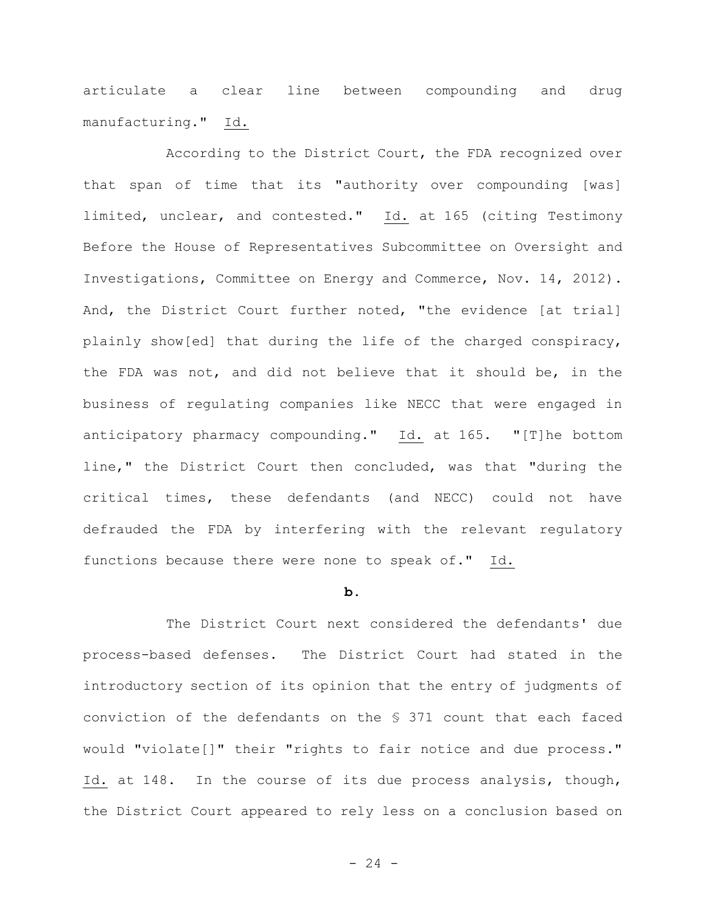articulate a clear line between compounding and drug manufacturing." Id.

According to the District Court, the FDA recognized over that span of time that its "authority over compounding [was] limited, unclear, and contested." Id. at 165 (citing Testimony Before the House of Representatives Subcommittee on Oversight and Investigations, Committee on Energy and Commerce, Nov. 14, 2012). And, the District Court further noted, "the evidence [at trial] plainly show[ed] that during the life of the charged conspiracy, the FDA was not, and did not believe that it should be, in the business of regulating companies like NECC that were engaged in anticipatory pharmacy compounding."  $Id.$  at 165. "[T]he bottom line," the District Court then concluded, was that "during the critical times, these defendants (and NECC) could not have defrauded the FDA by interfering with the relevant regulatory functions because there were none to speak of." Id.

# **b.**

The District Court next considered the defendants' due process-based defenses. The District Court had stated in the introductory section of its opinion that the entry of judgments of conviction of the defendants on the § 371 count that each faced would "violate[]" their "rights to fair notice and due process." Id. at 148. In the course of its due process analysis, though, the District Court appeared to rely less on a conclusion based on

 $- 24 -$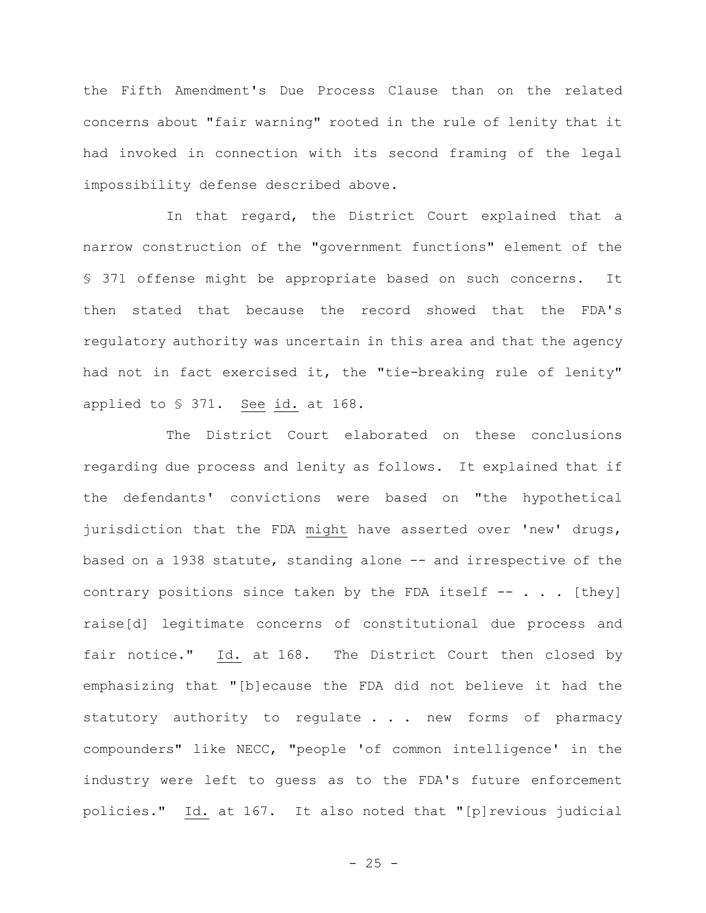the Fifth Amendment's Due Process Clause than on the related concerns about "fair warning" rooted in the rule of lenity that it had invoked in connection with its second framing of the legal impossibility defense described above.

In that regard, the District Court explained that a narrow construction of the "government functions" element of the § 371 offense might be appropriate based on such concerns. It then stated that because the record showed that the FDA's regulatory authority was uncertain in this area and that the agency had not in fact exercised it, the "tie-breaking rule of lenity" applied to § 371. See id. at 168.

The District Court elaborated on these conclusions regarding due process and lenity as follows. It explained that if the defendants' convictions were based on "the hypothetical jurisdiction that the FDA might have asserted over 'new' drugs, based on a 1938 statute, standing alone -- and irrespective of the contrary positions since taken by the FDA itself  $-- . . . .$  [they] raise[d] legitimate concerns of constitutional due process and fair notice." Id. at 168. The District Court then closed by emphasizing that "[b]ecause the FDA did not believe it had the statutory authority to regulate . . . new forms of pharmacy compounders" like NECC, "people 'of common intelligence' in the industry were left to guess as to the FDA's future enforcement policies." Id. at 167. It also noted that "[p]revious judicial

 $- 25 -$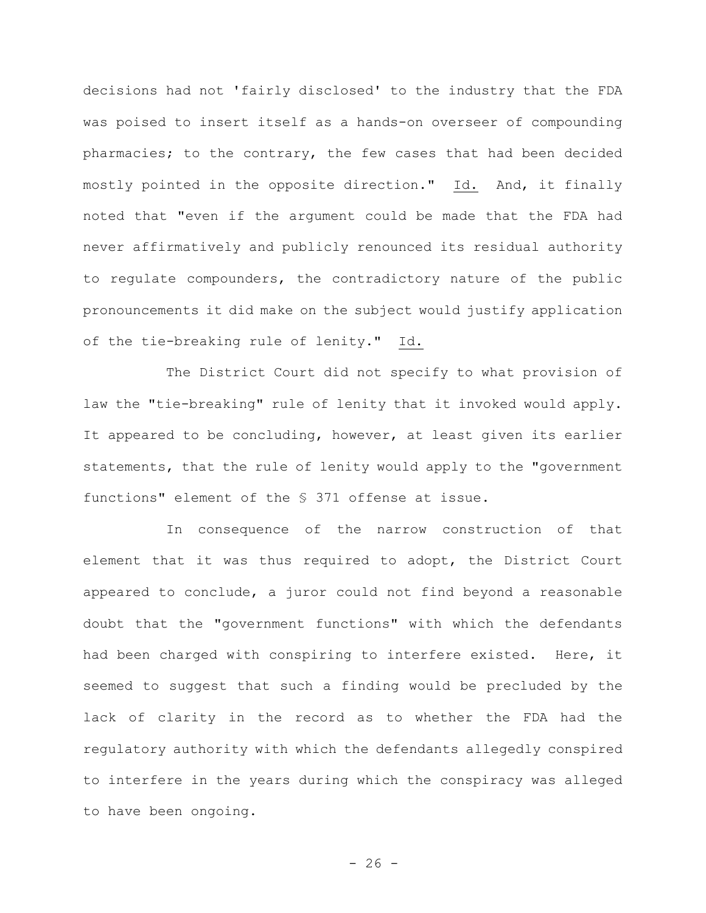decisions had not 'fairly disclosed' to the industry that the FDA was poised to insert itself as a hands-on overseer of compounding pharmacies; to the contrary, the few cases that had been decided mostly pointed in the opposite direction." Id. And, it finally noted that "even if the argument could be made that the FDA had never affirmatively and publicly renounced its residual authority to regulate compounders, the contradictory nature of the public pronouncements it did make on the subject would justify application of the tie-breaking rule of lenity." Id.

The District Court did not specify to what provision of law the "tie-breaking" rule of lenity that it invoked would apply. It appeared to be concluding, however, at least given its earlier statements, that the rule of lenity would apply to the "government functions" element of the § 371 offense at issue.

In consequence of the narrow construction of that element that it was thus required to adopt, the District Court appeared to conclude, a juror could not find beyond a reasonable doubt that the "government functions" with which the defendants had been charged with conspiring to interfere existed. Here, it seemed to suggest that such a finding would be precluded by the lack of clarity in the record as to whether the FDA had the regulatory authority with which the defendants allegedly conspired to interfere in the years during which the conspiracy was alleged to have been ongoing.

 $- 26 -$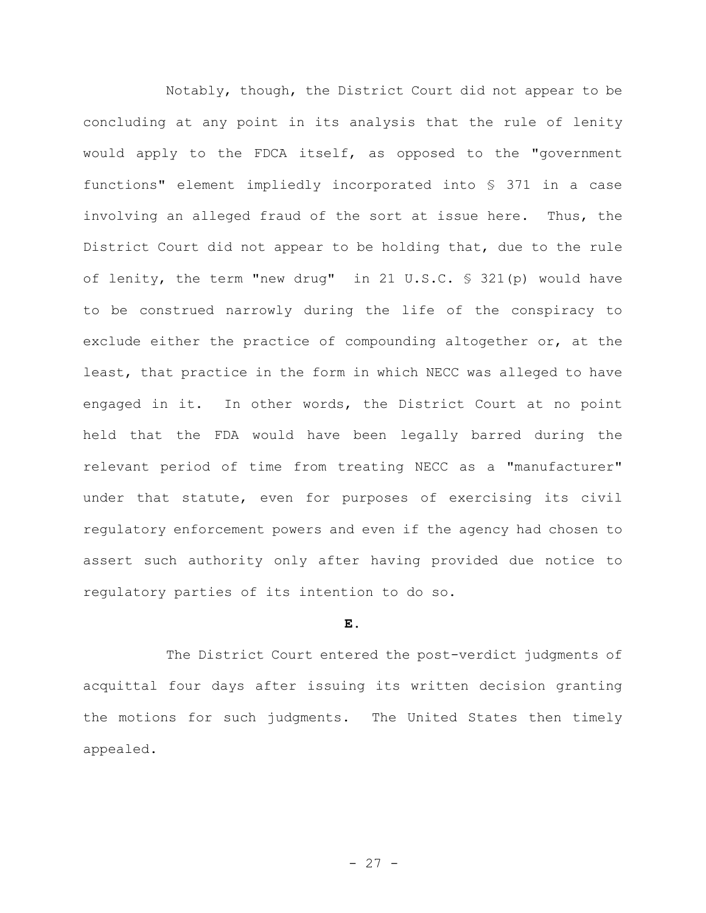Notably, though, the District Court did not appear to be concluding at any point in its analysis that the rule of lenity would apply to the FDCA itself, as opposed to the "government functions" element impliedly incorporated into § 371 in a case involving an alleged fraud of the sort at issue here. Thus, the District Court did not appear to be holding that, due to the rule of lenity, the term "new drug" in 21 U.S.C. § 321(p) would have to be construed narrowly during the life of the conspiracy to exclude either the practice of compounding altogether or, at the least, that practice in the form in which NECC was alleged to have engaged in it. In other words, the District Court at no point held that the FDA would have been legally barred during the relevant period of time from treating NECC as a "manufacturer" under that statute, even for purposes of exercising its civil regulatory enforcement powers and even if the agency had chosen to assert such authority only after having provided due notice to regulatory parties of its intention to do so.

# **E.**

The District Court entered the post-verdict judgments of acquittal four days after issuing its written decision granting the motions for such judgments. The United States then timely appealed.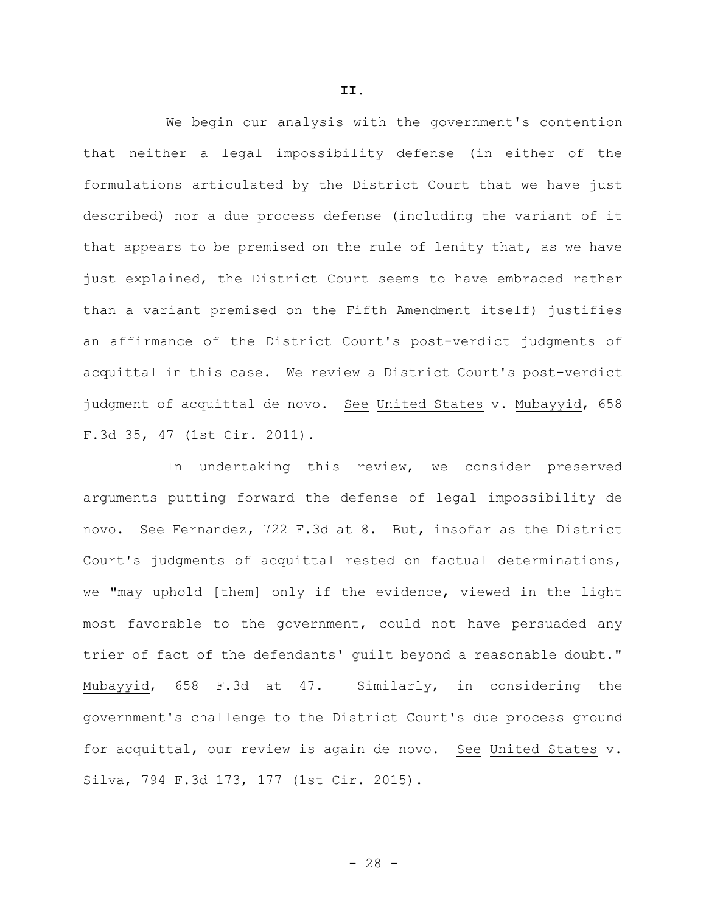We begin our analysis with the government's contention that neither a legal impossibility defense (in either of the formulations articulated by the District Court that we have just described) nor a due process defense (including the variant of it that appears to be premised on the rule of lenity that, as we have just explained, the District Court seems to have embraced rather than a variant premised on the Fifth Amendment itself) justifies an affirmance of the District Court's post-verdict judgments of acquittal in this case. We review a District Court's post-verdict judgment of acquittal de novo. See United States v. Mubayyid, 658 F.3d 35, 47 (1st Cir. 2011).

In undertaking this review, we consider preserved arguments putting forward the defense of legal impossibility de novo. See Fernandez, 722 F.3d at 8. But, insofar as the District Court's judgments of acquittal rested on factual determinations, we "may uphold [them] only if the evidence, viewed in the light most favorable to the government, could not have persuaded any trier of fact of the defendants' guilt beyond a reasonable doubt." Mubayyid, 658 F.3d at 47. Similarly, in considering the government's challenge to the District Court's due process ground for acquittal, our review is again de novo. See United States v. Silva, 794 F.3d 173, 177 (1st Cir. 2015).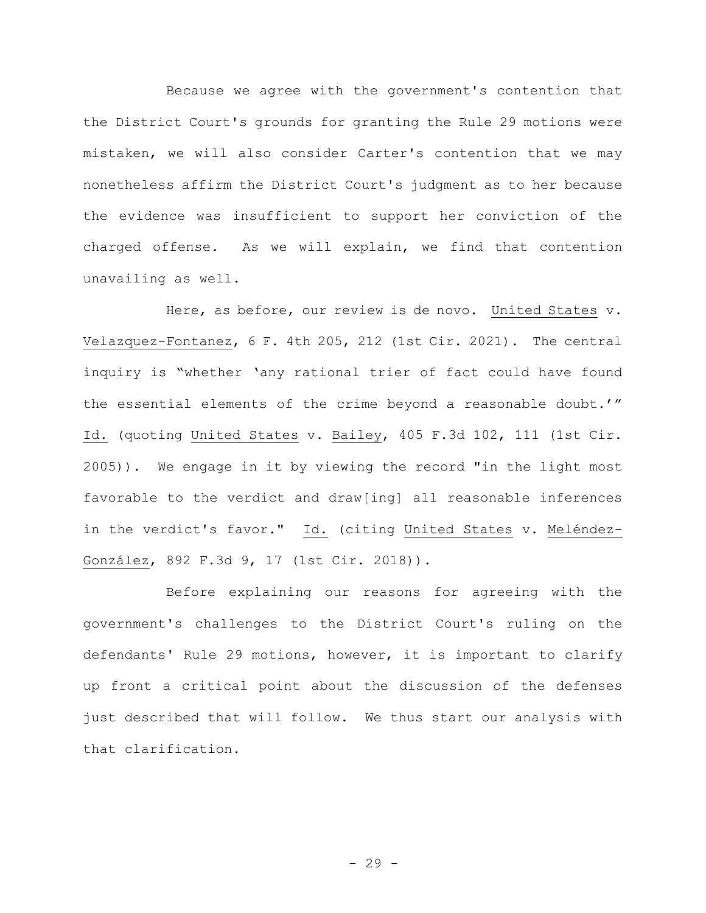Because we agree with the government's contention that the District Court's grounds for granting the Rule 29 motions were mistaken, we will also consider Carter's contention that we may nonetheless affirm the District Court's judgment as to her because the evidence was insufficient to support her conviction of the charged offense. As we will explain, we find that contention unavailing as well.

Here, as before, our review is de novo. United States v. Velazquez-Fontanez, 6 F. 4th 205, 212 (1st Cir. 2021). The central inquiry is "whether 'any rational trier of fact could have found the essential elements of the crime beyond a reasonable doubt.'" Id. (quoting United States v. Bailey, 405 F.3d 102, 111 (1st Cir. 2005)). We engage in it by viewing the record "in the light most favorable to the verdict and draw[ing] all reasonable inferences in the verdict's favor." Id. (citing United States v. Meléndez-González, 892 F.3d 9, 17 (1st Cir. 2018)).

Before explaining our reasons for agreeing with the government's challenges to the District Court's ruling on the defendants' Rule 29 motions, however, it is important to clarify up front a critical point about the discussion of the defenses just described that will follow. We thus start our analysis with that clarification.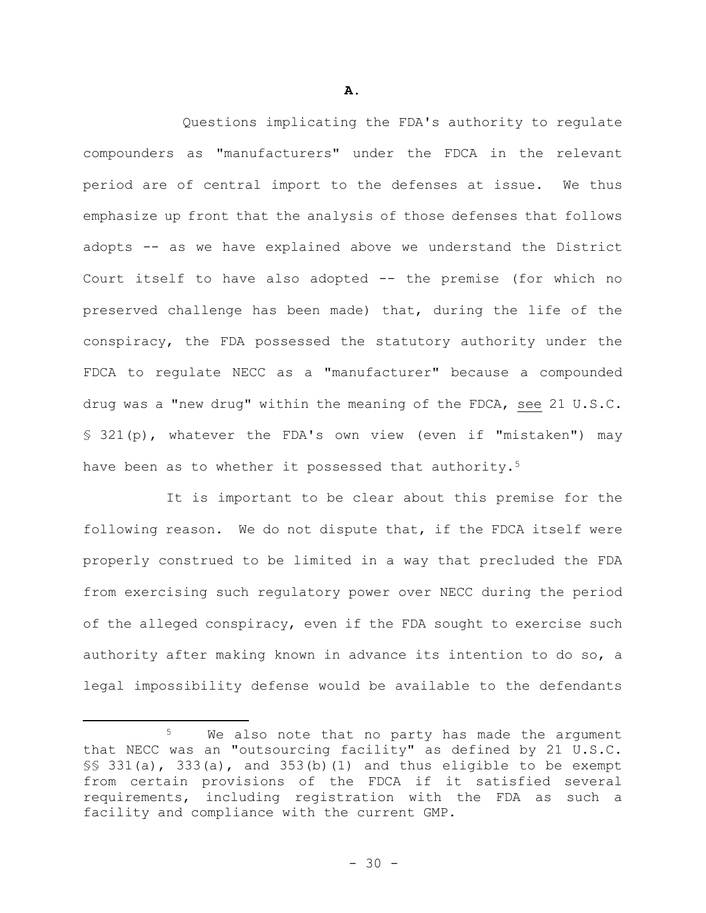Questions implicating the FDA's authority to regulate compounders as "manufacturers" under the FDCA in the relevant period are of central import to the defenses at issue. We thus emphasize up front that the analysis of those defenses that follows adopts -- as we have explained above we understand the District Court itself to have also adopted -- the premise (for which no preserved challenge has been made) that, during the life of the conspiracy, the FDA possessed the statutory authority under the FDCA to regulate NECC as a "manufacturer" because a compounded drug was a "new drug" within the meaning of the FDCA, see 21 U.S.C. § 321(p), whatever the FDA's own view (even if "mistaken") may have been as to whether it possessed that authority.<sup>5</sup>

It is important to be clear about this premise for the following reason. We do not dispute that, if the FDCA itself were properly construed to be limited in a way that precluded the FDA from exercising such regulatory power over NECC during the period of the alleged conspiracy, even if the FDA sought to exercise such authority after making known in advance its intention to do so, a legal impossibility defense would be available to the defendants

**A.**

<sup>5</sup> We also note that no party has made the argument that NECC was an "outsourcing facility" as defined by 21 U.S.C. §§ 331(a), 333(a), and 353(b)(1) and thus eligible to be exempt from certain provisions of the FDCA if it satisfied several requirements, including registration with the FDA as such a facility and compliance with the current GMP.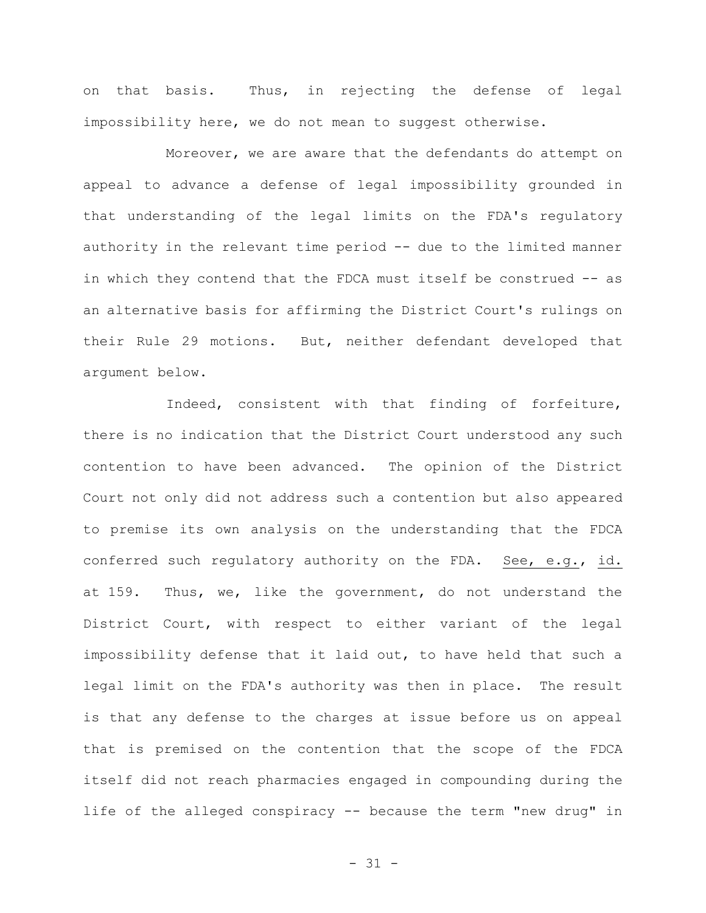on that basis. Thus, in rejecting the defense of legal impossibility here, we do not mean to suggest otherwise.

Moreover, we are aware that the defendants do attempt on appeal to advance a defense of legal impossibility grounded in that understanding of the legal limits on the FDA's regulatory authority in the relevant time period -- due to the limited manner in which they contend that the FDCA must itself be construed -- as an alternative basis for affirming the District Court's rulings on their Rule 29 motions. But, neither defendant developed that argument below.

Indeed, consistent with that finding of forfeiture, there is no indication that the District Court understood any such contention to have been advanced. The opinion of the District Court not only did not address such a contention but also appeared to premise its own analysis on the understanding that the FDCA conferred such regulatory authority on the FDA. See, e.g., id. at 159. Thus, we, like the government, do not understand the District Court, with respect to either variant of the legal impossibility defense that it laid out, to have held that such a legal limit on the FDA's authority was then in place. The result is that any defense to the charges at issue before us on appeal that is premised on the contention that the scope of the FDCA itself did not reach pharmacies engaged in compounding during the life of the alleged conspiracy -- because the term "new drug" in

- 31 -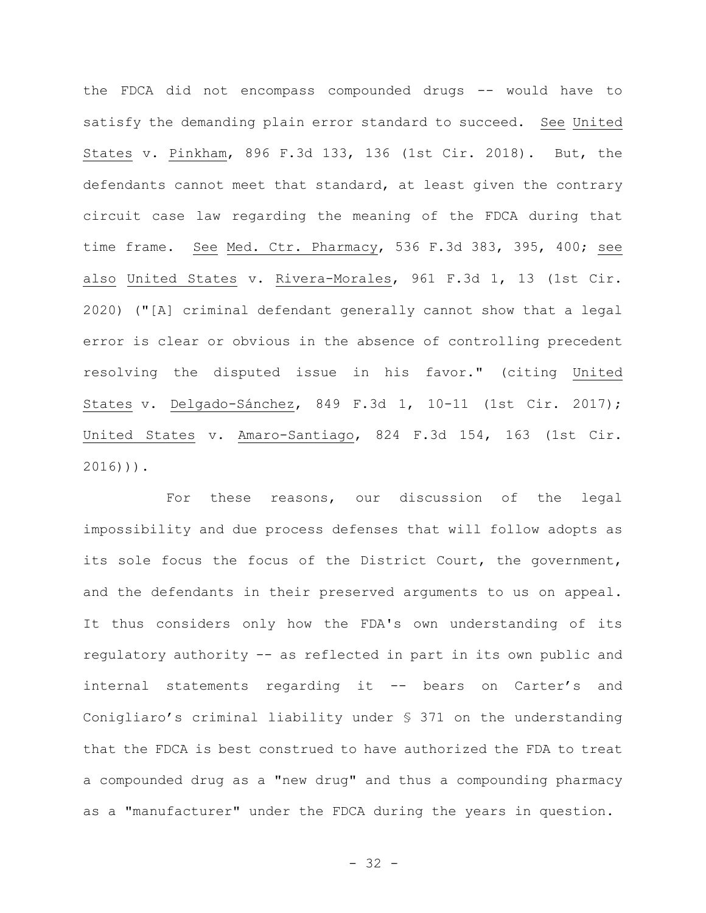the FDCA did not encompass compounded drugs -- would have to satisfy the demanding plain error standard to succeed. See United States v. Pinkham, 896 F.3d 133, 136 (1st Cir. 2018). But, the defendants cannot meet that standard, at least given the contrary circuit case law regarding the meaning of the FDCA during that time frame. See Med. Ctr. Pharmacy, 536 F.3d 383, 395, 400; see also United States v. Rivera-Morales, 961 F.3d 1, 13 (1st Cir. 2020) ("[A] criminal defendant generally cannot show that a legal error is clear or obvious in the absence of controlling precedent resolving the disputed issue in his favor." (citing United States v. Delgado-Sánchez, 849 F.3d 1, 10-11 (1st Cir. 2017); United States v. Amaro-Santiago, 824 F.3d 154, 163 (1st Cir. 2016))).

For these reasons, our discussion of the legal impossibility and due process defenses that will follow adopts as its sole focus the focus of the District Court, the government, and the defendants in their preserved arguments to us on appeal. It thus considers only how the FDA's own understanding of its regulatory authority -- as reflected in part in its own public and internal statements regarding it -- bears on Carter's and Conigliaro's criminal liability under § 371 on the understanding that the FDCA is best construed to have authorized the FDA to treat a compounded drug as a "new drug" and thus a compounding pharmacy as a "manufacturer" under the FDCA during the years in question.

- 32 -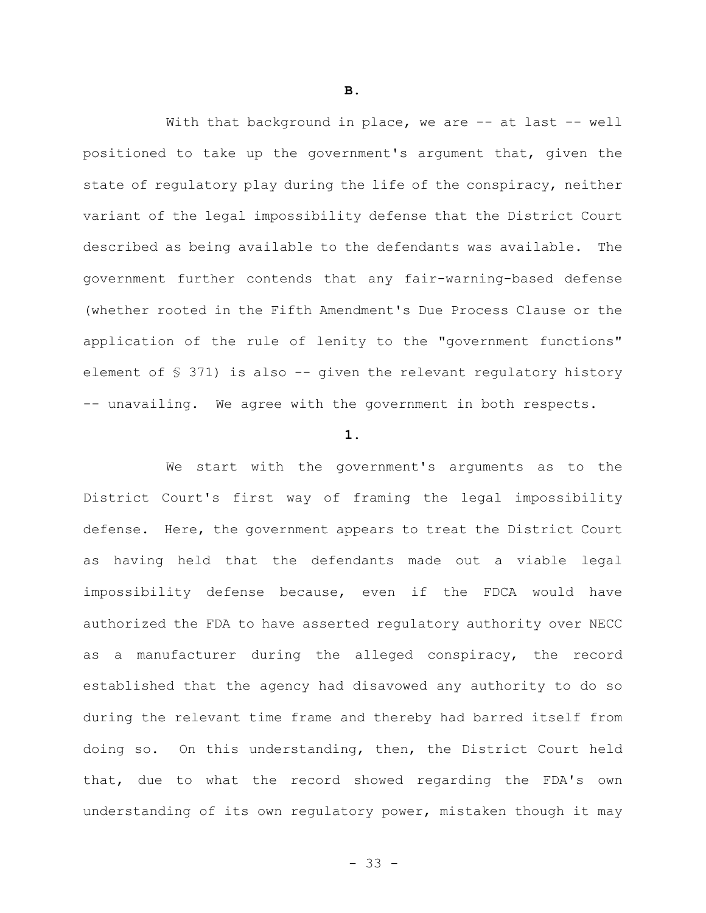With that background in place, we are -- at last -- well positioned to take up the government's argument that, given the state of regulatory play during the life of the conspiracy, neither variant of the legal impossibility defense that the District Court described as being available to the defendants was available. The government further contends that any fair-warning-based defense (whether rooted in the Fifth Amendment's Due Process Clause or the application of the rule of lenity to the "government functions" element of § 371) is also -- given the relevant regulatory history -- unavailing. We agree with the government in both respects.

# **1.**

We start with the government's arguments as to the District Court's first way of framing the legal impossibility defense. Here, the government appears to treat the District Court as having held that the defendants made out a viable legal impossibility defense because, even if the FDCA would have authorized the FDA to have asserted regulatory authority over NECC as a manufacturer during the alleged conspiracy, the record established that the agency had disavowed any authority to do so during the relevant time frame and thereby had barred itself from doing so. On this understanding, then, the District Court held that, due to what the record showed regarding the FDA's own understanding of its own regulatory power, mistaken though it may

**B.**

- 33 -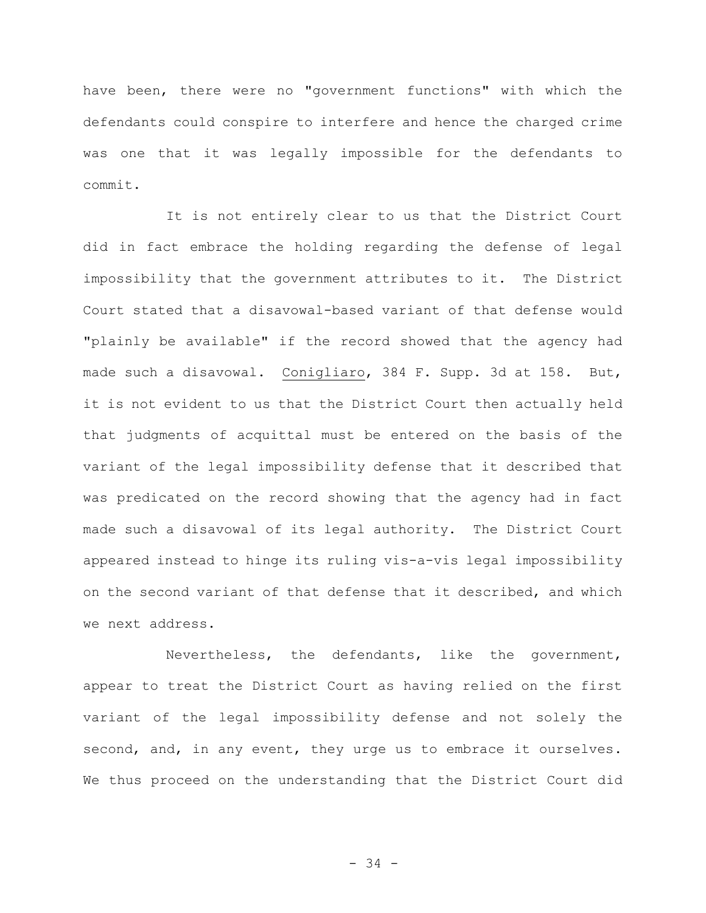have been, there were no "government functions" with which the defendants could conspire to interfere and hence the charged crime was one that it was legally impossible for the defendants to commit.

It is not entirely clear to us that the District Court did in fact embrace the holding regarding the defense of legal impossibility that the government attributes to it. The District Court stated that a disavowal-based variant of that defense would "plainly be available" if the record showed that the agency had made such a disavowal. Conigliaro, 384 F. Supp. 3d at 158. But, it is not evident to us that the District Court then actually held that judgments of acquittal must be entered on the basis of the variant of the legal impossibility defense that it described that was predicated on the record showing that the agency had in fact made such a disavowal of its legal authority. The District Court appeared instead to hinge its ruling vis-a-vis legal impossibility on the second variant of that defense that it described, and which we next address.

Nevertheless, the defendants, like the government, appear to treat the District Court as having relied on the first variant of the legal impossibility defense and not solely the second, and, in any event, they urge us to embrace it ourselves. We thus proceed on the understanding that the District Court did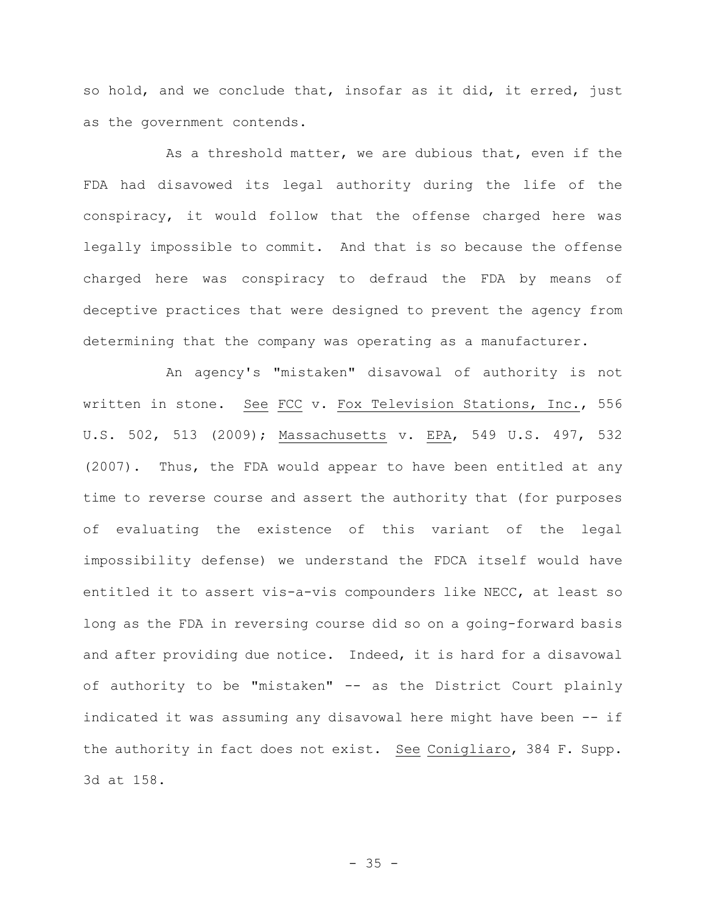so hold, and we conclude that, insofar as it did, it erred, just as the government contends.

As a threshold matter, we are dubious that, even if the FDA had disavowed its legal authority during the life of the conspiracy, it would follow that the offense charged here was legally impossible to commit. And that is so because the offense charged here was conspiracy to defraud the FDA by means of deceptive practices that were designed to prevent the agency from determining that the company was operating as a manufacturer.

An agency's "mistaken" disavowal of authority is not written in stone. See FCC v. Fox Television Stations, Inc., 556 U.S. 502, 513 (2009); Massachusetts v. EPA, 549 U.S. 497, 532 (2007). Thus, the FDA would appear to have been entitled at any time to reverse course and assert the authority that (for purposes of evaluating the existence of this variant of the legal impossibility defense) we understand the FDCA itself would have entitled it to assert vis-a-vis compounders like NECC, at least so long as the FDA in reversing course did so on a going-forward basis and after providing due notice. Indeed, it is hard for a disavowal of authority to be "mistaken" -- as the District Court plainly indicated it was assuming any disavowal here might have been -- if the authority in fact does not exist. See Conigliaro, 384 F. Supp. 3d at 158.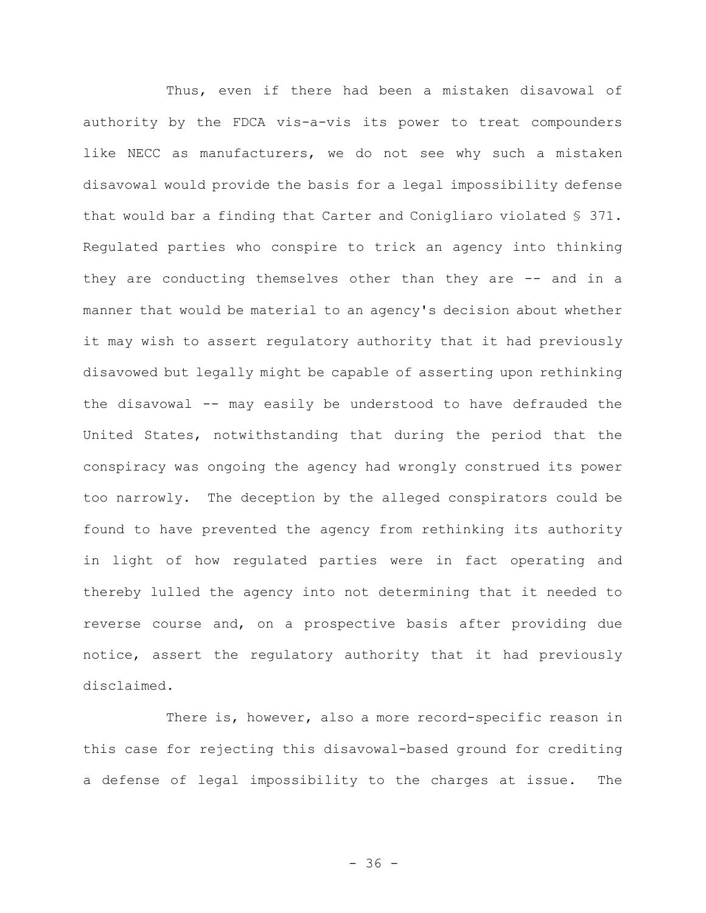Thus, even if there had been a mistaken disavowal of authority by the FDCA vis-a-vis its power to treat compounders like NECC as manufacturers, we do not see why such a mistaken disavowal would provide the basis for a legal impossibility defense that would bar a finding that Carter and Conigliaro violated § 371. Regulated parties who conspire to trick an agency into thinking they are conducting themselves other than they are -- and in a manner that would be material to an agency's decision about whether it may wish to assert regulatory authority that it had previously disavowed but legally might be capable of asserting upon rethinking the disavowal -- may easily be understood to have defrauded the United States, notwithstanding that during the period that the conspiracy was ongoing the agency had wrongly construed its power too narrowly. The deception by the alleged conspirators could be found to have prevented the agency from rethinking its authority in light of how regulated parties were in fact operating and thereby lulled the agency into not determining that it needed to reverse course and, on a prospective basis after providing due notice, assert the regulatory authority that it had previously disclaimed.

There is, however, also a more record-specific reason in this case for rejecting this disavowal-based ground for crediting a defense of legal impossibility to the charges at issue. The

 $- 36 -$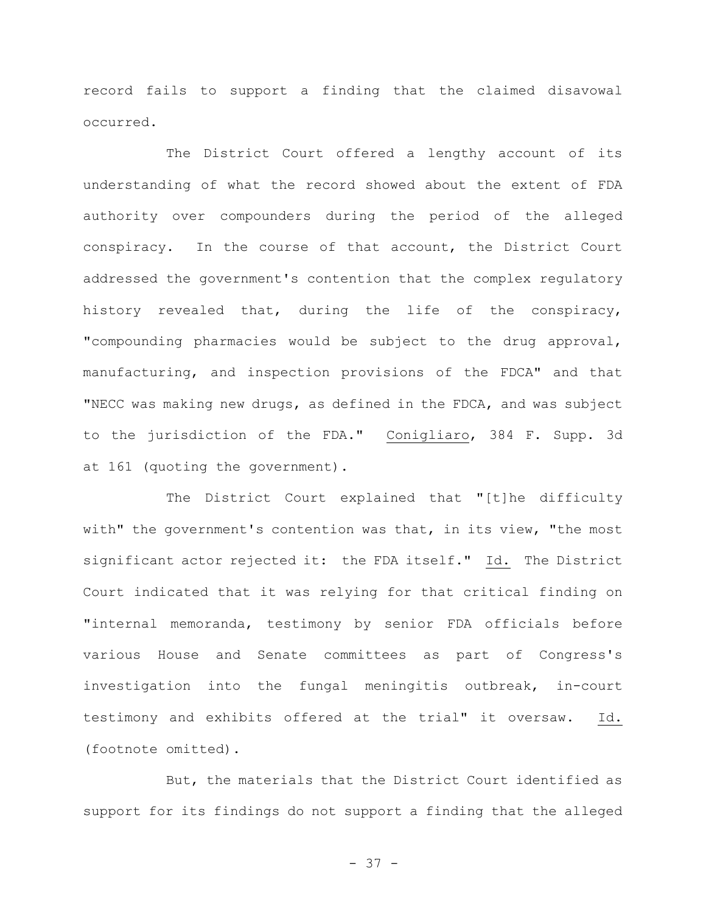record fails to support a finding that the claimed disavowal occurred.

The District Court offered a lengthy account of its understanding of what the record showed about the extent of FDA authority over compounders during the period of the alleged conspiracy. In the course of that account, the District Court addressed the government's contention that the complex regulatory history revealed that, during the life of the conspiracy, "compounding pharmacies would be subject to the drug approval, manufacturing, and inspection provisions of the FDCA" and that "NECC was making new drugs, as defined in the FDCA, and was subject to the jurisdiction of the FDA." Conigliaro, 384 F. Supp. 3d at 161 (quoting the government).

The District Court explained that "[t]he difficulty with" the government's contention was that, in its view, "the most significant actor rejected it: the FDA itself." Id. The District Court indicated that it was relying for that critical finding on "internal memoranda, testimony by senior FDA officials before various House and Senate committees as part of Congress's investigation into the fungal meningitis outbreak, in-court testimony and exhibits offered at the trial" it oversaw. Id. (footnote omitted).

But, the materials that the District Court identified as support for its findings do not support a finding that the alleged

- 37 -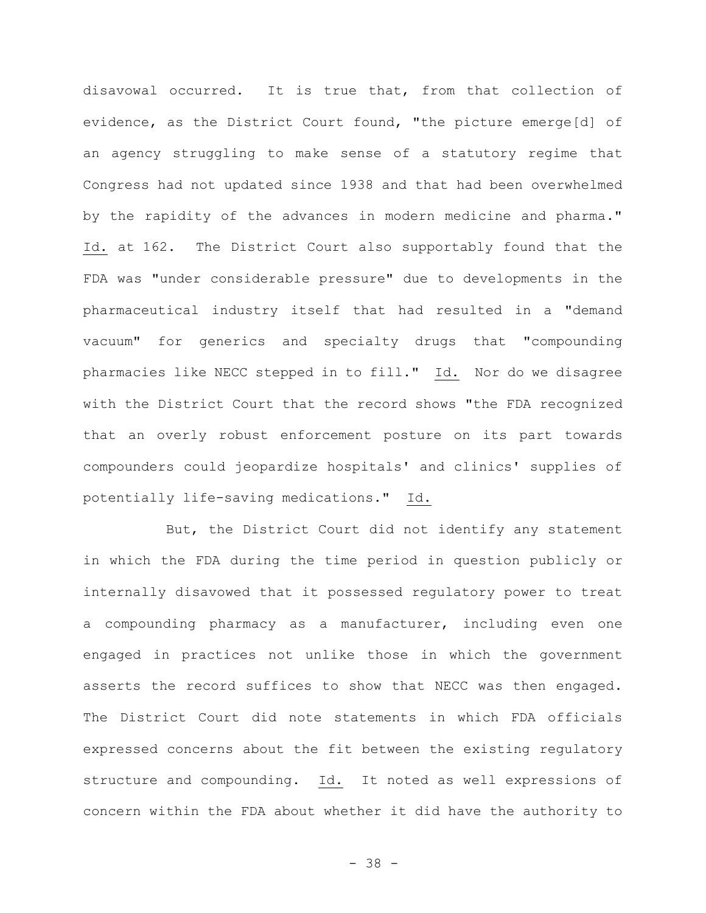disavowal occurred. It is true that, from that collection of evidence, as the District Court found, "the picture emerge[d] of an agency struggling to make sense of a statutory regime that Congress had not updated since 1938 and that had been overwhelmed by the rapidity of the advances in modern medicine and pharma." Id. at 162. The District Court also supportably found that the FDA was "under considerable pressure" due to developments in the pharmaceutical industry itself that had resulted in a "demand vacuum" for generics and specialty drugs that "compounding pharmacies like NECC stepped in to fill." Id. Nor do we disagree with the District Court that the record shows "the FDA recognized that an overly robust enforcement posture on its part towards compounders could jeopardize hospitals' and clinics' supplies of potentially life-saving medications." Id.

But, the District Court did not identify any statement in which the FDA during the time period in question publicly or internally disavowed that it possessed regulatory power to treat a compounding pharmacy as a manufacturer, including even one engaged in practices not unlike those in which the government asserts the record suffices to show that NECC was then engaged. The District Court did note statements in which FDA officials expressed concerns about the fit between the existing regulatory structure and compounding. Id. It noted as well expressions of concern within the FDA about whether it did have the authority to

- 38 -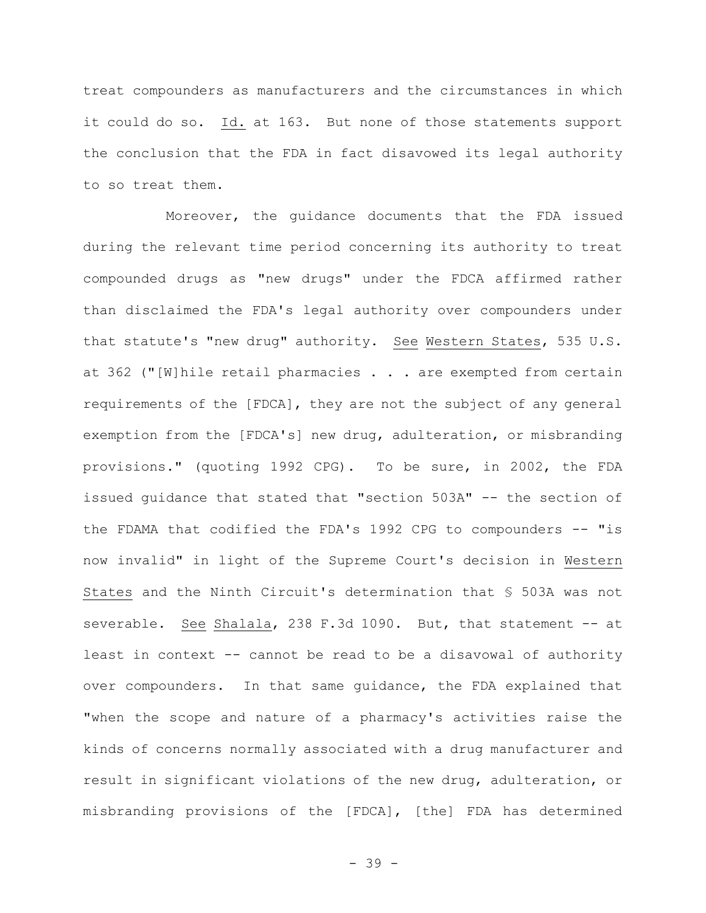treat compounders as manufacturers and the circumstances in which it could do so. Id. at 163. But none of those statements support the conclusion that the FDA in fact disavowed its legal authority to so treat them.

Moreover, the guidance documents that the FDA issued during the relevant time period concerning its authority to treat compounded drugs as "new drugs" under the FDCA affirmed rather than disclaimed the FDA's legal authority over compounders under that statute's "new drug" authority. See Western States, 535 U.S. at 362 ("[W]hile retail pharmacies  $\ldots$  . are exempted from certain requirements of the [FDCA], they are not the subject of any general exemption from the [FDCA's] new drug, adulteration, or misbranding provisions." (quoting 1992 CPG). To be sure, in 2002, the FDA issued guidance that stated that "section 503A" -- the section of the FDAMA that codified the FDA's 1992 CPG to compounders -- "is now invalid" in light of the Supreme Court's decision in Western States and the Ninth Circuit's determination that § 503A was not severable. See Shalala, 238 F.3d 1090. But, that statement -- at least in context -- cannot be read to be a disavowal of authority over compounders. In that same guidance, the FDA explained that "when the scope and nature of a pharmacy's activities raise the kinds of concerns normally associated with a drug manufacturer and result in significant violations of the new drug, adulteration, or misbranding provisions of the [FDCA], [the] FDA has determined

- 39 -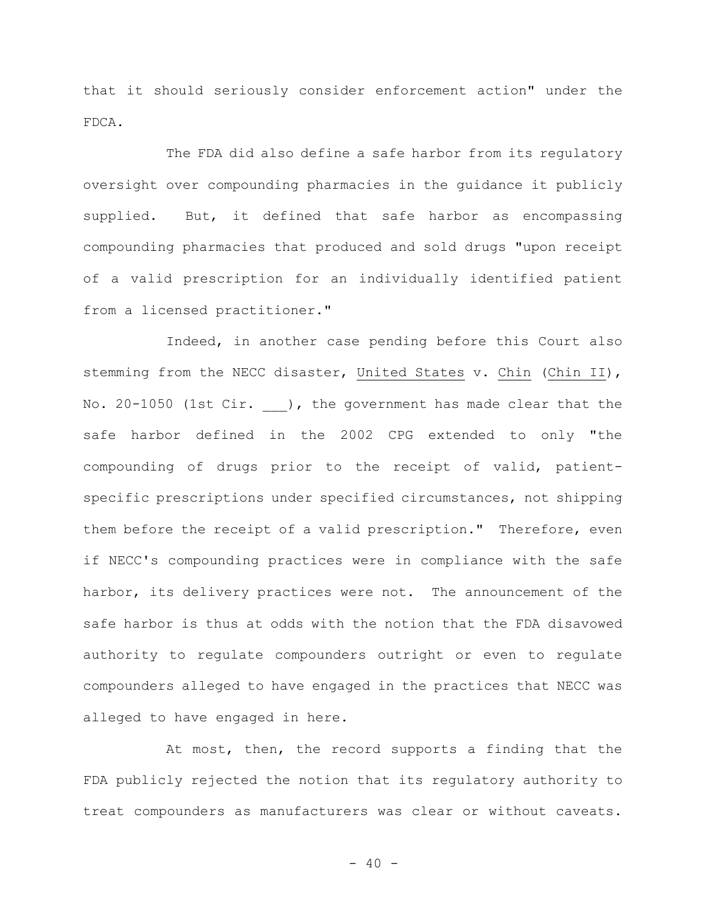that it should seriously consider enforcement action" under the FDCA.

The FDA did also define a safe harbor from its regulatory oversight over compounding pharmacies in the guidance it publicly supplied. But, it defined that safe harbor as encompassing compounding pharmacies that produced and sold drugs "upon receipt of a valid prescription for an individually identified patient from a licensed practitioner."

Indeed, in another case pending before this Court also stemming from the NECC disaster, United States v. Chin (Chin II), No. 20-1050 (1st Cir. \_\_\_), the government has made clear that the safe harbor defined in the 2002 CPG extended to only "the compounding of drugs prior to the receipt of valid, patientspecific prescriptions under specified circumstances, not shipping them before the receipt of a valid prescription." Therefore, even if NECC's compounding practices were in compliance with the safe harbor, its delivery practices were not. The announcement of the safe harbor is thus at odds with the notion that the FDA disavowed authority to regulate compounders outright or even to regulate compounders alleged to have engaged in the practices that NECC was alleged to have engaged in here.

At most, then, the record supports a finding that the FDA publicly rejected the notion that its regulatory authority to treat compounders as manufacturers was clear or without caveats.

 $- 40 -$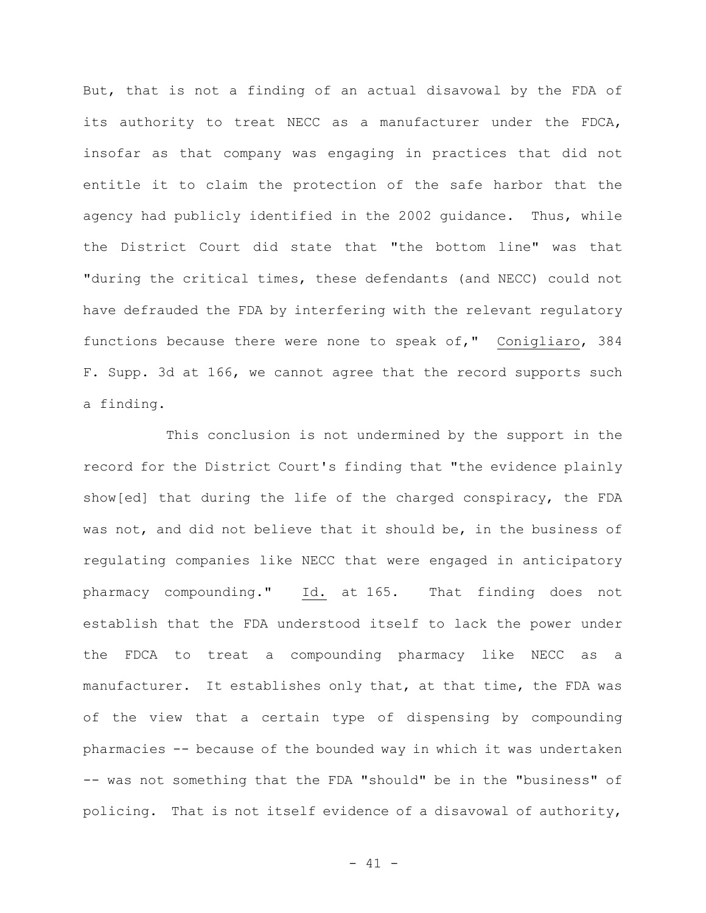But, that is not a finding of an actual disavowal by the FDA of its authority to treat NECC as a manufacturer under the FDCA, insofar as that company was engaging in practices that did not entitle it to claim the protection of the safe harbor that the agency had publicly identified in the 2002 guidance. Thus, while the District Court did state that "the bottom line" was that "during the critical times, these defendants (and NECC) could not have defrauded the FDA by interfering with the relevant regulatory functions because there were none to speak of," Conigliaro, 384 F. Supp. 3d at 166, we cannot agree that the record supports such a finding.

This conclusion is not undermined by the support in the record for the District Court's finding that "the evidence plainly show[ed] that during the life of the charged conspiracy, the FDA was not, and did not believe that it should be, in the business of regulating companies like NECC that were engaged in anticipatory pharmacy compounding." Id. at 165. That finding does not establish that the FDA understood itself to lack the power under the FDCA to treat a compounding pharmacy like NECC as a manufacturer. It establishes only that, at that time, the FDA was of the view that a certain type of dispensing by compounding pharmacies -- because of the bounded way in which it was undertaken -- was not something that the FDA "should" be in the "business" of policing. That is not itself evidence of a disavowal of authority,

- 41 -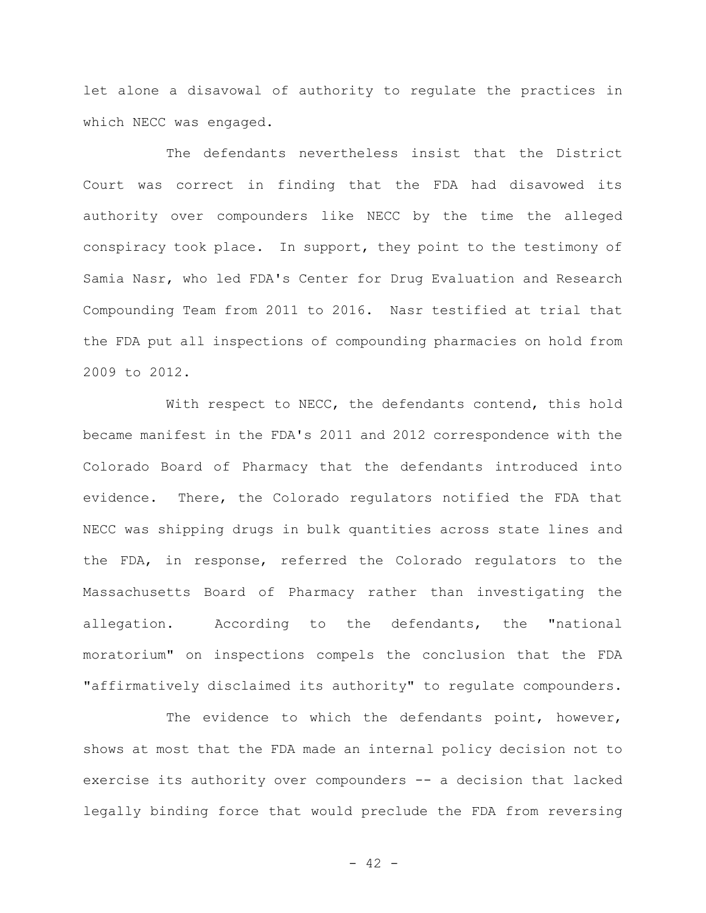let alone a disavowal of authority to regulate the practices in which NECC was engaged.

The defendants nevertheless insist that the District Court was correct in finding that the FDA had disavowed its authority over compounders like NECC by the time the alleged conspiracy took place. In support, they point to the testimony of Samia Nasr, who led FDA's Center for Drug Evaluation and Research Compounding Team from 2011 to 2016. Nasr testified at trial that the FDA put all inspections of compounding pharmacies on hold from 2009 to 2012.

With respect to NECC, the defendants contend, this hold became manifest in the FDA's 2011 and 2012 correspondence with the Colorado Board of Pharmacy that the defendants introduced into evidence. There, the Colorado regulators notified the FDA that NECC was shipping drugs in bulk quantities across state lines and the FDA, in response, referred the Colorado regulators to the Massachusetts Board of Pharmacy rather than investigating the allegation.According to the defendants, the "national moratorium" on inspections compels the conclusion that the FDA "affirmatively disclaimed its authority" to regulate compounders.

The evidence to which the defendants point, however, shows at most that the FDA made an internal policy decision not to exercise its authority over compounders -- a decision that lacked legally binding force that would preclude the FDA from reversing

 $- 42 -$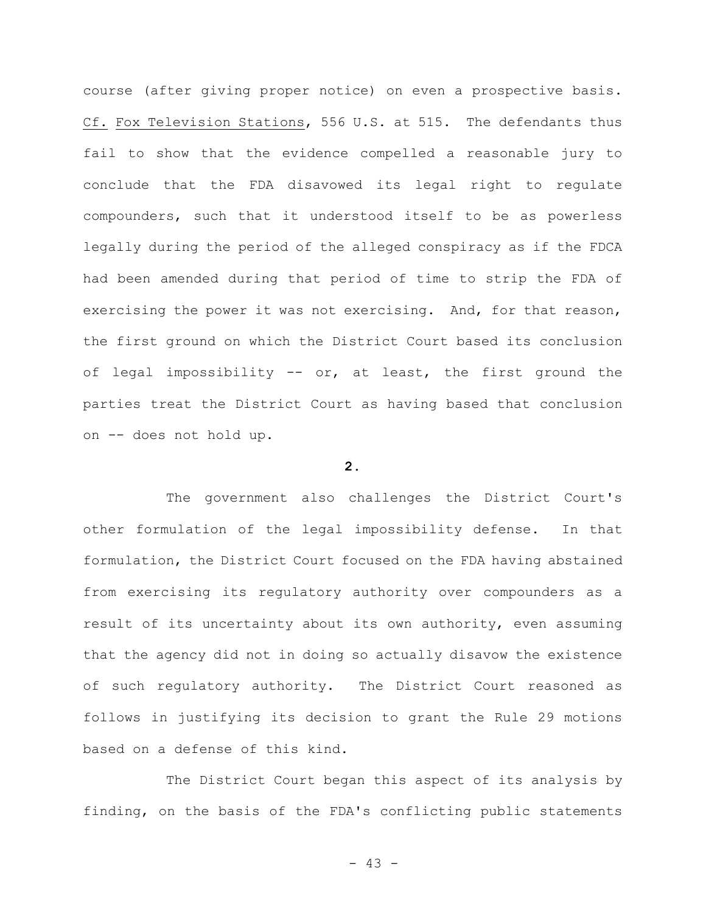course (after giving proper notice) on even a prospective basis. Cf. Fox Television Stations, 556 U.S. at 515. The defendants thus fail to show that the evidence compelled a reasonable jury to conclude that the FDA disavowed its legal right to regulate compounders, such that it understood itself to be as powerless legally during the period of the alleged conspiracy as if the FDCA had been amended during that period of time to strip the FDA of exercising the power it was not exercising. And, for that reason, the first ground on which the District Court based its conclusion of legal impossibility -- or, at least, the first ground the parties treat the District Court as having based that conclusion on -- does not hold up.

# **2.**

The government also challenges the District Court's other formulation of the legal impossibility defense. In that formulation, the District Court focused on the FDA having abstained from exercising its regulatory authority over compounders as a result of its uncertainty about its own authority, even assuming that the agency did not in doing so actually disavow the existence of such regulatory authority. The District Court reasoned as follows in justifying its decision to grant the Rule 29 motions based on a defense of this kind.

The District Court began this aspect of its analysis by finding, on the basis of the FDA's conflicting public statements

- 43 -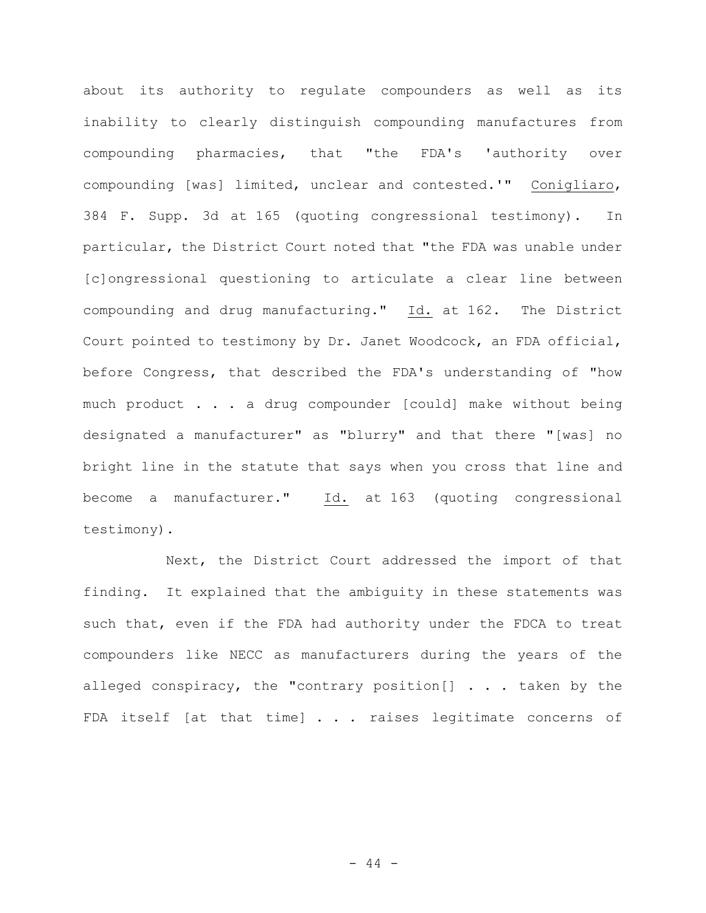about its authority to regulate compounders as well as its inability to clearly distinguish compounding manufactures from compounding pharmacies, that "the FDA's 'authority over compounding [was] limited, unclear and contested.'" Conigliaro, 384 F. Supp. 3d at 165 (quoting congressional testimony). In particular, the District Court noted that "the FDA was unable under [c]ongressional questioning to articulate a clear line between compounding and drug manufacturing." Id. at 162. The District Court pointed to testimony by Dr. Janet Woodcock, an FDA official, before Congress, that described the FDA's understanding of "how much product . . . a drug compounder [could] make without being designated a manufacturer" as "blurry" and that there "[was] no bright line in the statute that says when you cross that line and become a manufacturer." Id. at 163 (quoting congressional testimony).

Next, the District Court addressed the import of that finding. It explained that the ambiguity in these statements was such that, even if the FDA had authority under the FDCA to treat compounders like NECC as manufacturers during the years of the alleged conspiracy, the "contrary position[] . . . taken by the FDA itself [at that time] . . . raises legitimate concerns of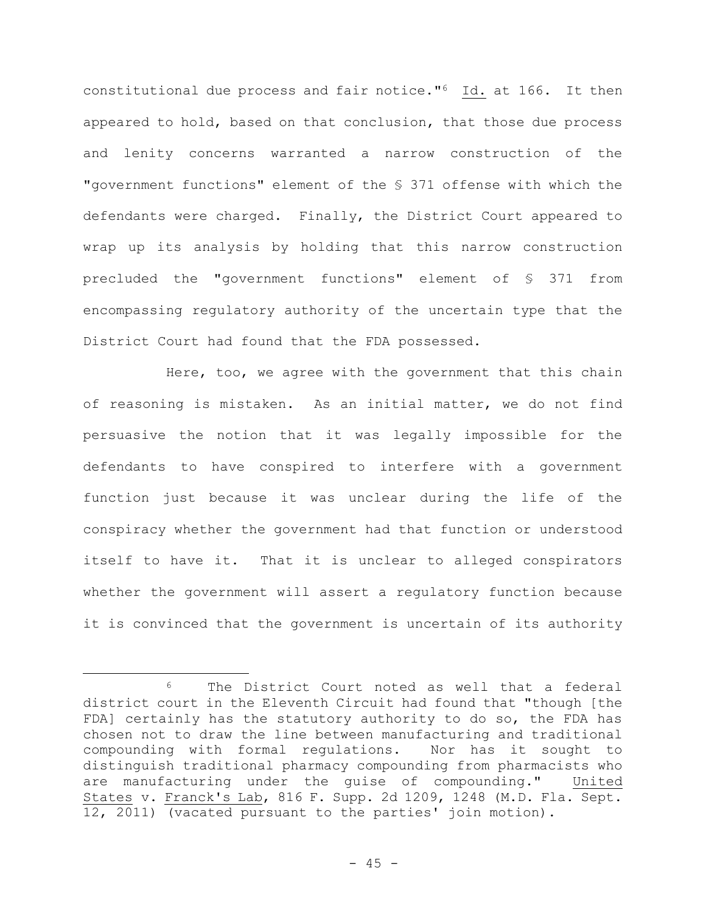constitutional due process and fair notice."<sup>6</sup> Id. at 166. It then appeared to hold, based on that conclusion, that those due process and lenity concerns warranted a narrow construction of the "government functions" element of the § 371 offense with which the defendants were charged. Finally, the District Court appeared to wrap up its analysis by holding that this narrow construction precluded the "government functions" element of § 371 from encompassing regulatory authority of the uncertain type that the District Court had found that the FDA possessed.

Here, too, we agree with the government that this chain of reasoning is mistaken. As an initial matter, we do not find persuasive the notion that it was legally impossible for the defendants to have conspired to interfere with a government function just because it was unclear during the life of the conspiracy whether the government had that function or understood itself to have it. That it is unclear to alleged conspirators whether the government will assert a regulatory function because it is convinced that the government is uncertain of its authority

<sup>6</sup> The District Court noted as well that a federal district court in the Eleventh Circuit had found that "though [the FDA] certainly has the statutory authority to do so, the FDA has chosen not to draw the line between manufacturing and traditional compounding with formal regulations. Nor has it sought to distinguish traditional pharmacy compounding from pharmacists who are manufacturing under the guise of compounding." United States v. Franck's Lab, 816 F. Supp. 2d 1209, 1248 (M.D. Fla. Sept. 12, 2011) (vacated pursuant to the parties' join motion).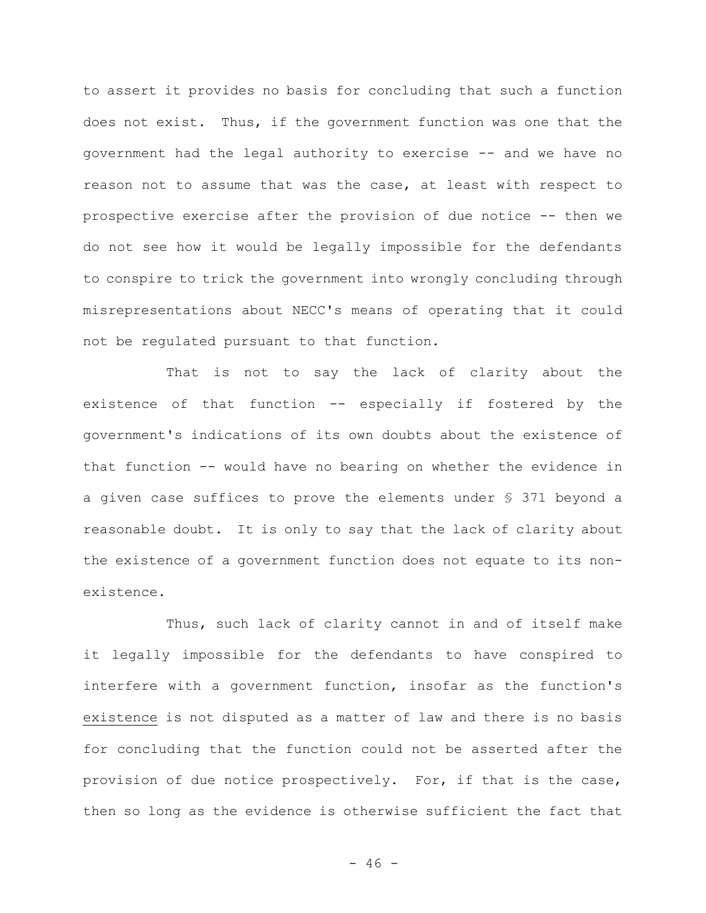to assert it provides no basis for concluding that such a function does not exist. Thus, if the government function was one that the government had the legal authority to exercise -- and we have no reason not to assume that was the case, at least with respect to prospective exercise after the provision of due notice -- then we do not see how it would be legally impossible for the defendants to conspire to trick the government into wrongly concluding through misrepresentations about NECC's means of operating that it could not be regulated pursuant to that function.

That is not to say the lack of clarity about the existence of that function -- especially if fostered by the government's indications of its own doubts about the existence of that function -- would have no bearing on whether the evidence in a given case suffices to prove the elements under § 371 beyond a reasonable doubt. It is only to say that the lack of clarity about the existence of a government function does not equate to its nonexistence.

Thus, such lack of clarity cannot in and of itself make it legally impossible for the defendants to have conspired to interfere with a government function, insofar as the function's existence is not disputed as a matter of law and there is no basis for concluding that the function could not be asserted after the provision of due notice prospectively. For, if that is the case, then so long as the evidence is otherwise sufficient the fact that

 $- 46 -$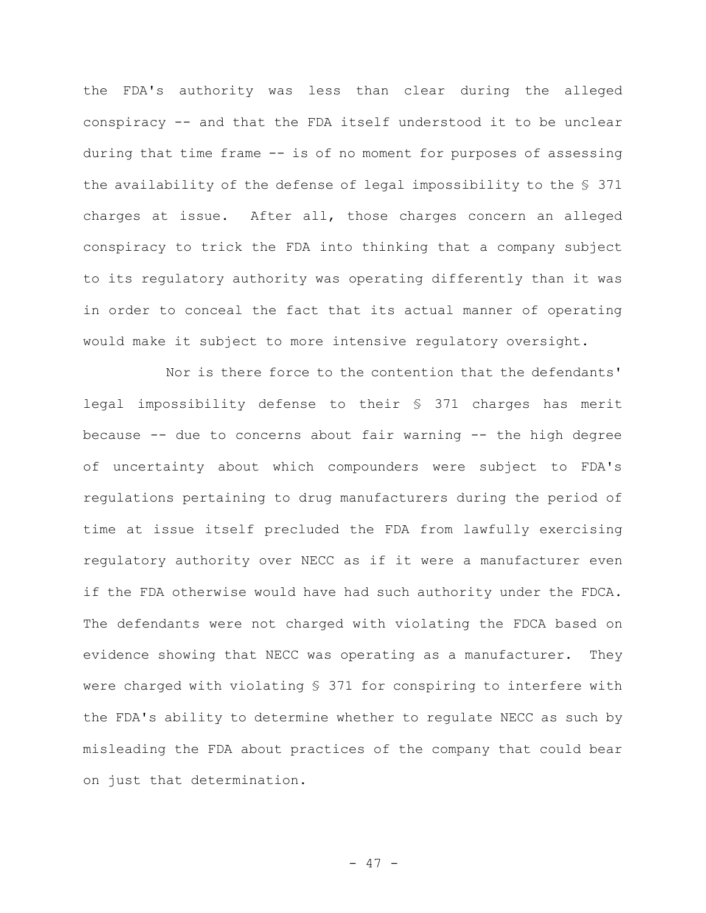the FDA's authority was less than clear during the alleged conspiracy -- and that the FDA itself understood it to be unclear during that time frame -- is of no moment for purposes of assessing the availability of the defense of legal impossibility to the § 371 charges at issue. After all, those charges concern an alleged conspiracy to trick the FDA into thinking that a company subject to its regulatory authority was operating differently than it was in order to conceal the fact that its actual manner of operating would make it subject to more intensive regulatory oversight.

Nor is there force to the contention that the defendants' legal impossibility defense to their § 371 charges has merit because -- due to concerns about fair warning -- the high degree of uncertainty about which compounders were subject to FDA's regulations pertaining to drug manufacturers during the period of time at issue itself precluded the FDA from lawfully exercising regulatory authority over NECC as if it were a manufacturer even if the FDA otherwise would have had such authority under the FDCA. The defendants were not charged with violating the FDCA based on evidence showing that NECC was operating as a manufacturer. They were charged with violating § 371 for conspiring to interfere with the FDA's ability to determine whether to regulate NECC as such by misleading the FDA about practices of the company that could bear on just that determination.

- 47 -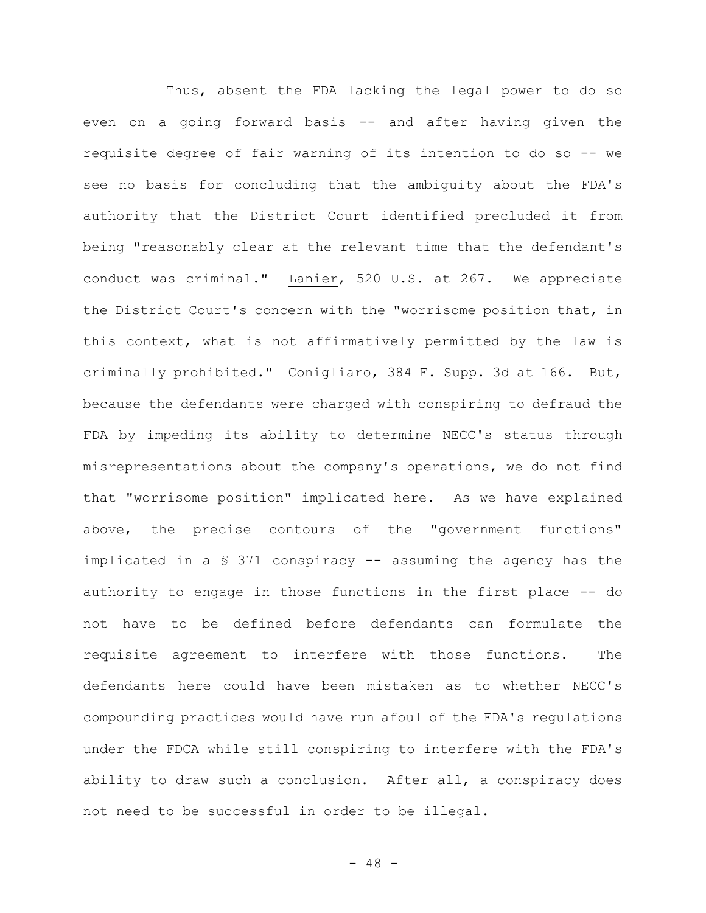Thus, absent the FDA lacking the legal power to do so even on a going forward basis -- and after having given the requisite degree of fair warning of its intention to do so -- we see no basis for concluding that the ambiguity about the FDA's authority that the District Court identified precluded it from being **"**reasonably clear at the relevant time that the defendant's conduct was criminal." Lanier, 520 U.S. at 267. We appreciate the District Court's concern with the "worrisome position that, in this context, what is not affirmatively permitted by the law is criminally prohibited." Conigliaro, 384 F. Supp. 3d at 166. But, because the defendants were charged with conspiring to defraud the FDA by impeding its ability to determine NECC's status through misrepresentations about the company's operations, we do not find that "worrisome position" implicated here. As we have explained above, the precise contours of the "government functions" implicated in a § 371 conspiracy -- assuming the agency has the authority to engage in those functions in the first place -- do not have to be defined before defendants can formulate the requisite agreement to interfere with those functions. The defendants here could have been mistaken as to whether NECC's compounding practices would have run afoul of the FDA's regulations under the FDCA while still conspiring to interfere with the FDA's ability to draw such a conclusion. After all, a conspiracy does not need to be successful in order to be illegal.

 $- 48 -$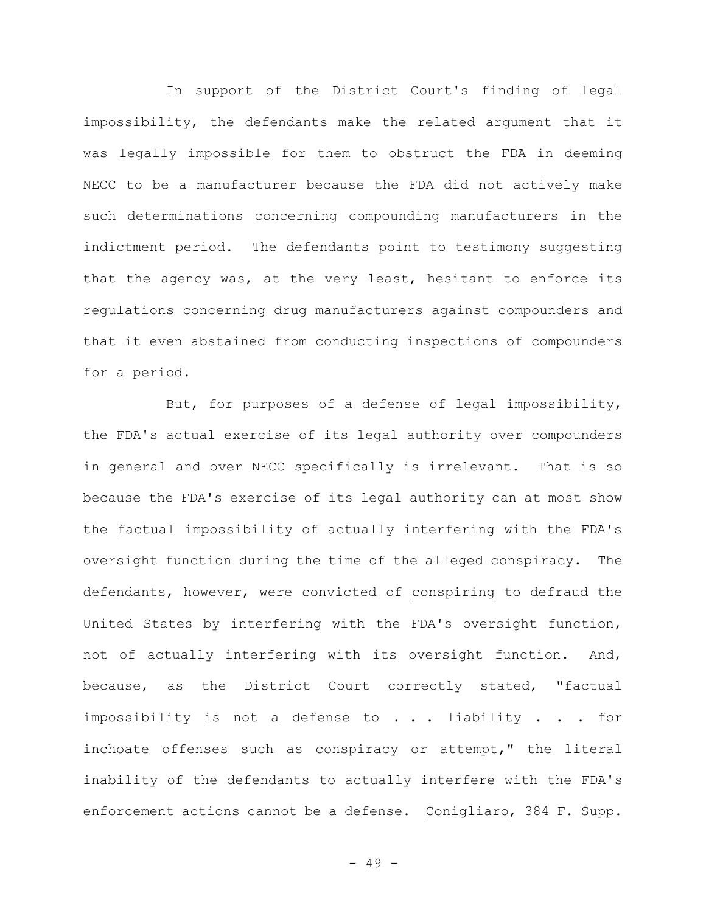In support of the District Court's finding of legal impossibility, the defendants make the related argument that it was legally impossible for them to obstruct the FDA in deeming NECC to be a manufacturer because the FDA did not actively make such determinations concerning compounding manufacturers in the indictment period. The defendants point to testimony suggesting that the agency was, at the very least, hesitant to enforce its regulations concerning drug manufacturers against compounders and that it even abstained from conducting inspections of compounders for a period.

But, for purposes of a defense of legal impossibility, the FDA's actual exercise of its legal authority over compounders in general and over NECC specifically is irrelevant. That is so because the FDA's exercise of its legal authority can at most show the factual impossibility of actually interfering with the FDA's oversight function during the time of the alleged conspiracy. The defendants, however, were convicted of conspiring to defraud the United States by interfering with the FDA's oversight function, not of actually interfering with its oversight function. And, because, as the District Court correctly stated, "factual impossibility is not a defense to . . . liability . . . for inchoate offenses such as conspiracy or attempt," the literal inability of the defendants to actually interfere with the FDA's enforcement actions cannot be a defense. Conigliaro, 384 F. Supp.

- 49 -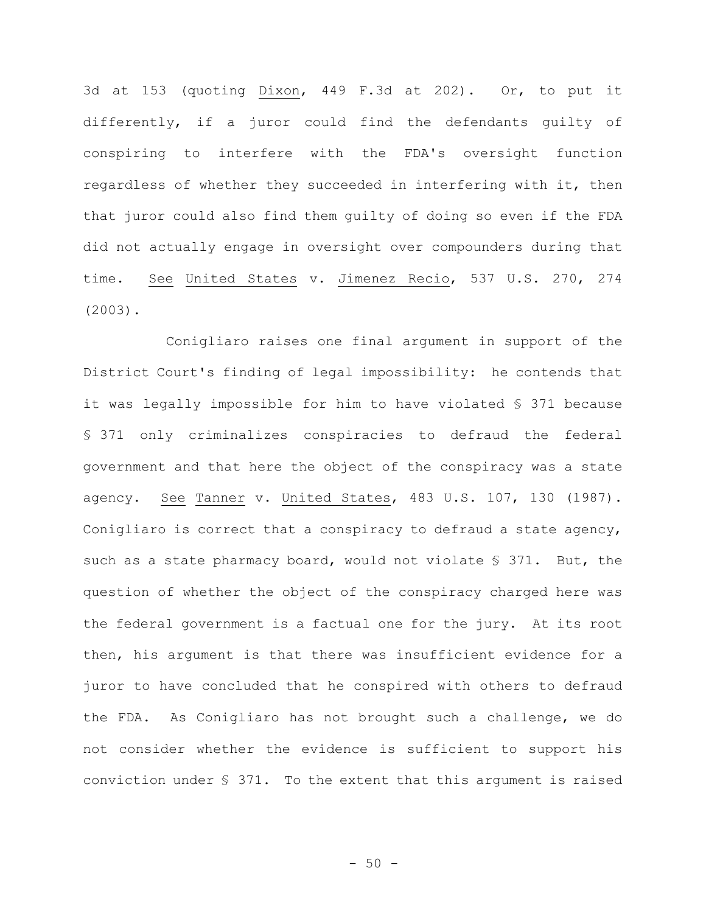3d at 153 (quoting Dixon, 449 F.3d at 202). Or, to put it differently, if a juror could find the defendants guilty of conspiring to interfere with the FDA's oversight function regardless of whether they succeeded in interfering with it, then that juror could also find them guilty of doing so even if the FDA did not actually engage in oversight over compounders during that time. See United States v. Jimenez Recio, 537 U.S. 270, 274 (2003).

Conigliaro raises one final argument in support of the District Court's finding of legal impossibility: he contends that it was legally impossible for him to have violated § 371 because § 371 only criminalizes conspiracies to defraud the federal government and that here the object of the conspiracy was a state agency. See Tanner v. United States, 483 U.S. 107, 130 (1987). Conigliaro is correct that a conspiracy to defraud a state agency, such as a state pharmacy board, would not violate § 371. But, the question of whether the object of the conspiracy charged here was the federal government is a factual one for the jury. At its root then, his argument is that there was insufficient evidence for a juror to have concluded that he conspired with others to defraud the FDA. As Conigliaro has not brought such a challenge, we do not consider whether the evidence is sufficient to support his conviction under § 371. To the extent that this argument is raised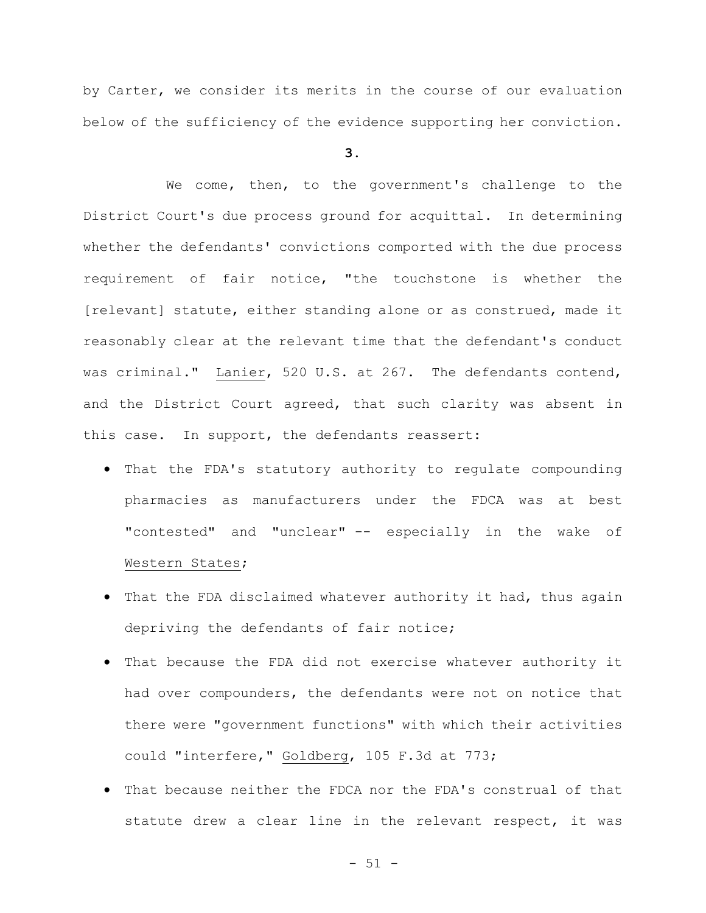by Carter, we consider its merits in the course of our evaluation below of the sufficiency of the evidence supporting her conviction.

**3.**

We come, then, to the government's challenge to the District Court's due process ground for acquittal. In determining whether the defendants' convictions comported with the due process requirement of fair notice, "the touchstone is whether the [relevant] statute, either standing alone or as construed, made it reasonably clear at the relevant time that the defendant's conduct was criminal." Lanier, 520 U.S. at 267. The defendants contend, and the District Court agreed, that such clarity was absent in this case. In support, the defendants reassert:

- That the FDA's statutory authority to regulate compounding pharmacies as manufacturers under the FDCA was at best "contested" and "unclear" -- especially in the wake of Western States;
- That the FDA disclaimed whatever authority it had, thus again depriving the defendants of fair notice;
- That because the FDA did not exercise whatever authority it had over compounders, the defendants were not on notice that there were "government functions" with which their activities could "interfere," Goldberg, 105 F.3d at 773;
- That because neither the FDCA nor the FDA's construal of that statute drew a clear line in the relevant respect, it was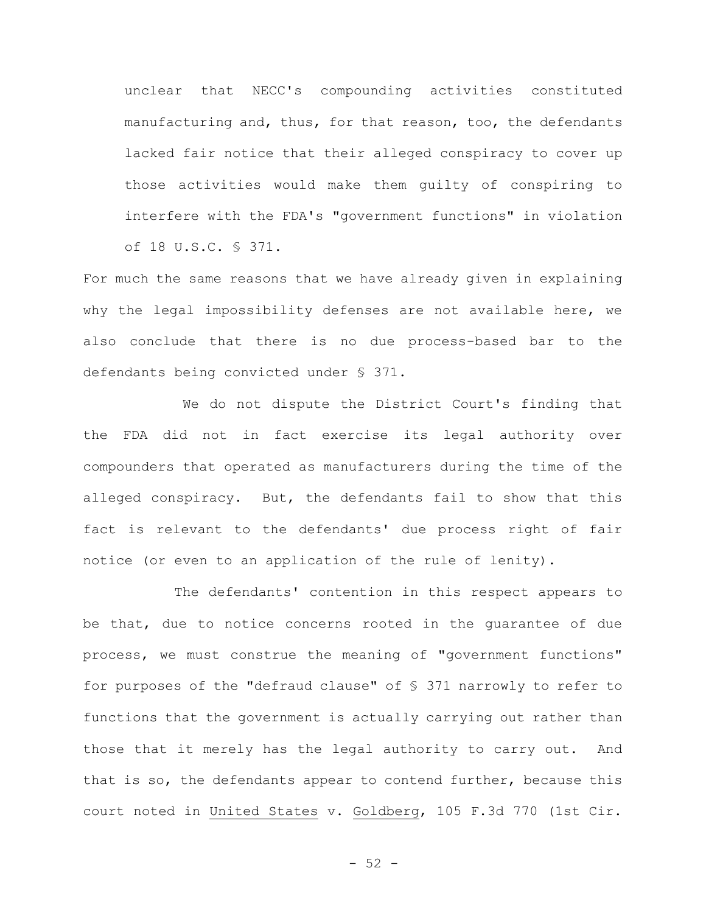unclear that NECC's compounding activities constituted manufacturing and, thus, for that reason, too, the defendants lacked fair notice that their alleged conspiracy to cover up those activities would make them guilty of conspiring to interfere with the FDA's "government functions" in violation of 18 U.S.C. § 371.

For much the same reasons that we have already given in explaining why the legal impossibility defenses are not available here, we also conclude that there is no due process-based bar to the defendants being convicted under § 371.

 We do not dispute the District Court's finding that the FDA did not in fact exercise its legal authority over compounders that operated as manufacturers during the time of the alleged conspiracy. But, the defendants fail to show that this fact is relevant to the defendants' due process right of fair notice (or even to an application of the rule of lenity).

The defendants' contention in this respect appears to be that, due to notice concerns rooted in the guarantee of due process, we must construe the meaning of "government functions" for purposes of the "defraud clause" of § 371 narrowly to refer to functions that the government is actually carrying out rather than those that it merely has the legal authority to carry out. And that is so, the defendants appear to contend further, because this court noted in United States v. Goldberg, 105 F.3d 770 (1st Cir.

 $-52 -$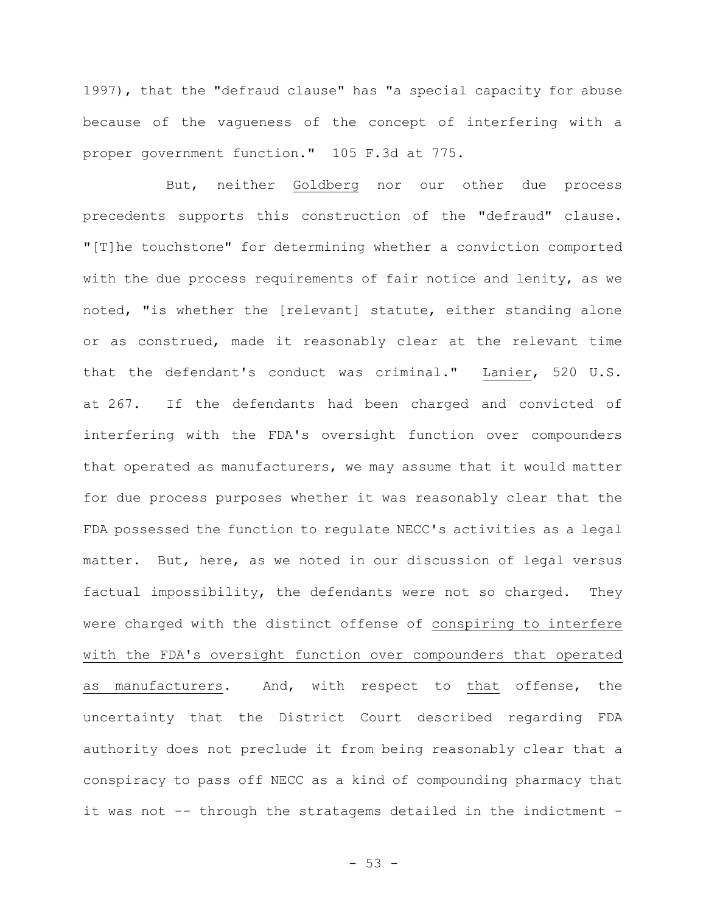1997), that the "defraud clause" has "a special capacity for abuse because of the vagueness of the concept of interfering with a proper government function." 105 F.3d at 775.

But, neither Goldberg nor our other due process precedents supports this construction of the "defraud" clause. "[T]he touchstone" for determining whether a conviction comported with the due process requirements of fair notice and lenity, as we noted, "is whether the [relevant] statute, either standing alone or as construed, made it reasonably clear at the relevant time that the defendant's conduct was criminal." Lanier, 520 U.S. at 267. If the defendants had been charged and convicted of interfering with the FDA's oversight function over compounders that operated as manufacturers, we may assume that it would matter for due process purposes whether it was reasonably clear that the FDA possessed the function to regulate NECC's activities as a legal matter. But, here, as we noted in our discussion of legal versus factual impossibility, the defendants were not so charged. They were charged with the distinct offense of conspiring to interfere with the FDA's oversight function over compounders that operated as manufacturers. And, with respect to that offense, the uncertainty that the District Court described regarding FDA authority does not preclude it from being reasonably clear that a conspiracy to pass off NECC as a kind of compounding pharmacy that it was not -- through the stratagems detailed in the indictment -

 $-53 -$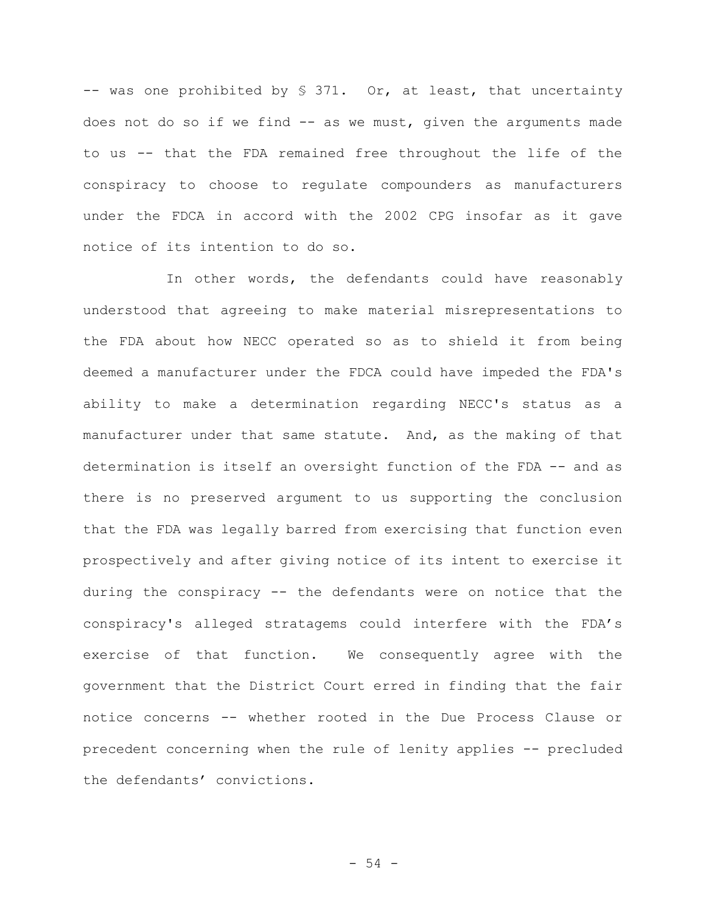-- was one prohibited by § 371. Or, at least, that uncertainty does not do so if we find -- as we must, given the arguments made to us -- that the FDA remained free throughout the life of the conspiracy to choose to regulate compounders as manufacturers under the FDCA in accord with the 2002 CPG insofar as it gave notice of its intention to do so.

In other words, the defendants could have reasonably understood that agreeing to make material misrepresentations to the FDA about how NECC operated so as to shield it from being deemed a manufacturer under the FDCA could have impeded the FDA's ability to make a determination regarding NECC's status as a manufacturer under that same statute. And, as the making of that determination is itself an oversight function of the FDA -- and as there is no preserved argument to us supporting the conclusion that the FDA was legally barred from exercising that function even prospectively and after giving notice of its intent to exercise it during the conspiracy -- the defendants were on notice that the conspiracy's alleged stratagems could interfere with the FDA's exercise of that function. We consequently agree with the government that the District Court erred in finding that the fair notice concerns -- whether rooted in the Due Process Clause or precedent concerning when the rule of lenity applies -- precluded the defendants' convictions.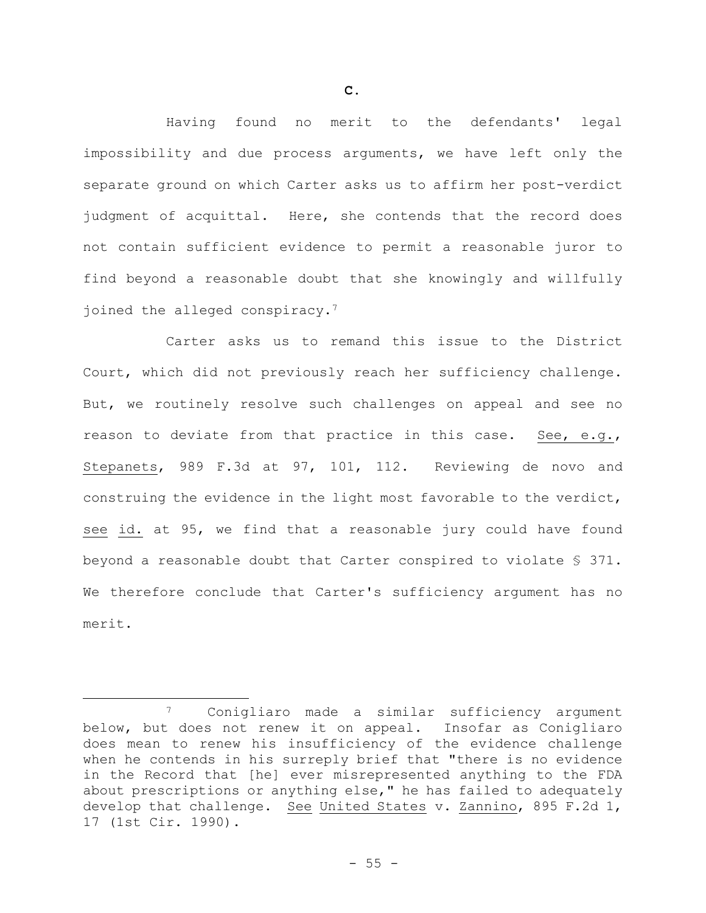Having found no merit to the defendants' legal impossibility and due process arguments, we have left only the separate ground on which Carter asks us to affirm her post-verdict judgment of acquittal. Here, she contends that the record does not contain sufficient evidence to permit a reasonable juror to find beyond a reasonable doubt that she knowingly and willfully joined the alleged conspiracy.<sup>7</sup>

Carter asks us to remand this issue to the District Court, which did not previously reach her sufficiency challenge. But, we routinely resolve such challenges on appeal and see no reason to deviate from that practice in this case. See, e.g., Stepanets, 989 F.3d at 97, 101, 112. Reviewing de novo and construing the evidence in the light most favorable to the verdict, see id. at 95, we find that a reasonable jury could have found beyond a reasonable doubt that Carter conspired to violate § 371. We therefore conclude that Carter's sufficiency argument has no merit.

Conigliaro made a similar sufficiency argument below, but does not renew it on appeal. Insofar as Conigliaro does mean to renew his insufficiency of the evidence challenge when he contends in his surreply brief that "there is no evidence in the Record that [he] ever misrepresented anything to the FDA about prescriptions or anything else," he has failed to adequately develop that challenge. See United States v. Zannino, 895 F.2d 1, 17 (1st Cir. 1990).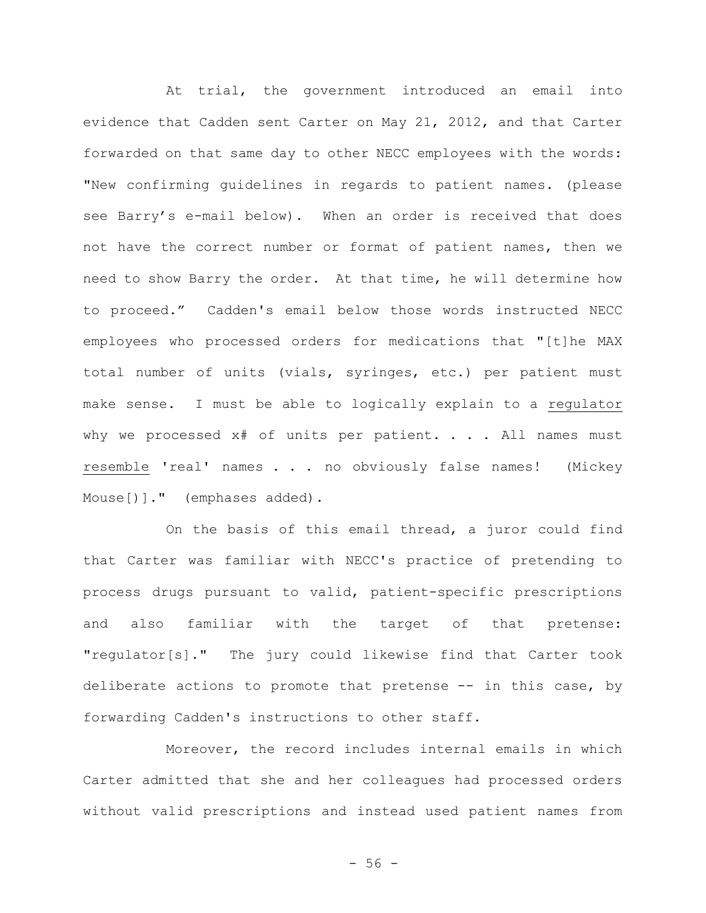At trial, the government introduced an email into evidence that Cadden sent Carter on May 21, 2012, and that Carter forwarded on that same day to other NECC employees with the words: "New confirming guidelines in regards to patient names. (please see Barry's e-mail below). When an order is received that does not have the correct number or format of patient names, then we need to show Barry the order. At that time, he will determine how to proceed." Cadden's email below those words instructed NECC employees who processed orders for medications that "[t]he MAX total number of units (vials, syringes, etc.) per patient must make sense. I must be able to logically explain to a regulator why we processed x# of units per patient. . . . All names must resemble 'real' names . . . no obviously false names! (Mickey Mouse[)]." (emphases added).

On the basis of this email thread, a juror could find that Carter was familiar with NECC's practice of pretending to process drugs pursuant to valid, patient-specific prescriptions and also familiar with the target of that pretense: "regulator[s]." The jury could likewise find that Carter took deliberate actions to promote that pretense -- in this case, by forwarding Cadden's instructions to other staff.

Moreover, the record includes internal emails in which Carter admitted that she and her colleagues had processed orders without valid prescriptions and instead used patient names from

- 56 -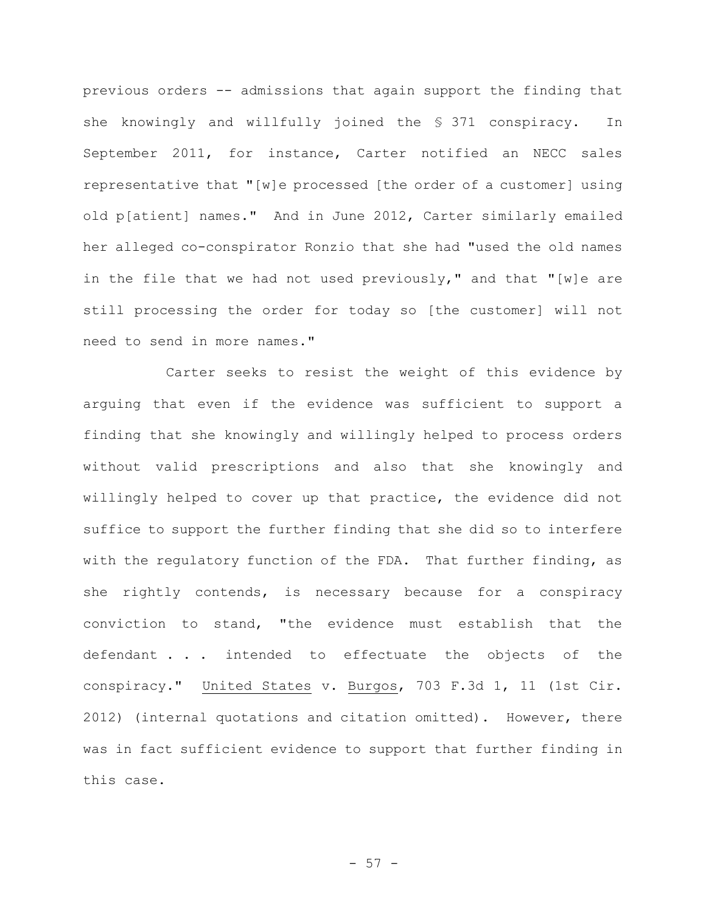previous orders -- admissions that again support the finding that she knowingly and willfully joined the § 371 conspiracy. In September 2011, for instance, Carter notified an NECC sales representative that "[w]e processed [the order of a customer] using old p[atient] names." And in June 2012, Carter similarly emailed her alleged co-conspirator Ronzio that she had "used the old names in the file that we had not used previously," and that "[w]e are still processing the order for today so [the customer] will not need to send in more names."

Carter seeks to resist the weight of this evidence by arguing that even if the evidence was sufficient to support a finding that she knowingly and willingly helped to process orders without valid prescriptions and also that she knowingly and willingly helped to cover up that practice, the evidence did not suffice to support the further finding that she did so to interfere with the regulatory function of the FDA. That further finding, as she rightly contends, is necessary because for a conspiracy conviction to stand, "the evidence must establish that the defendant . . . intended to effectuate the objects of the conspiracy." United States v. Burgos, 703 F.3d 1, 11 (1st Cir. 2012) (internal quotations and citation omitted). However, there was in fact sufficient evidence to support that further finding in this case.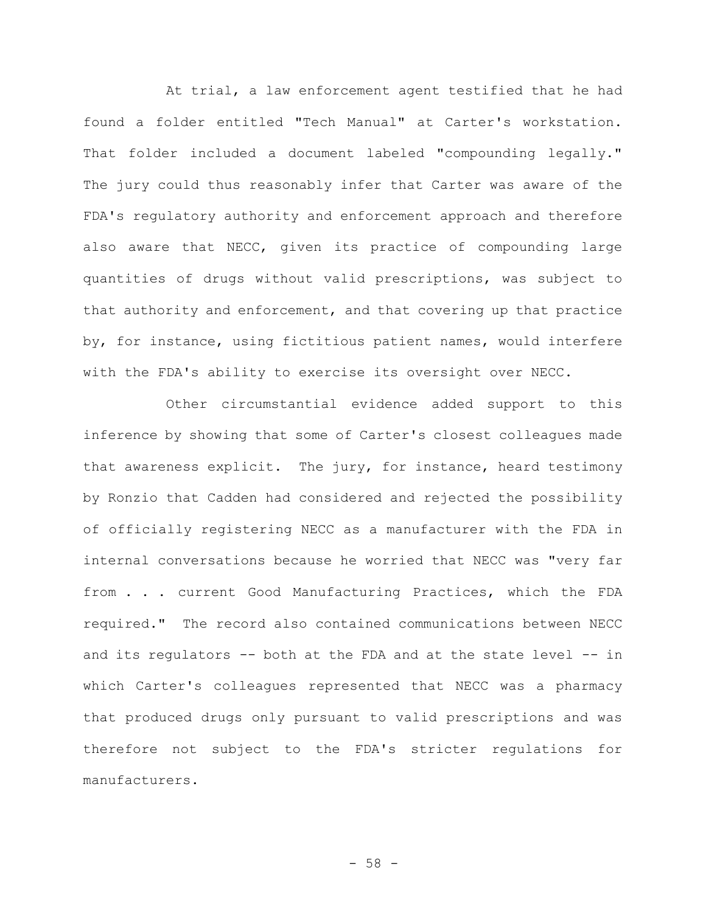At trial, a law enforcement agent testified that he had found a folder entitled "Tech Manual" at Carter's workstation. That folder included a document labeled "compounding legally." The jury could thus reasonably infer that Carter was aware of the FDA's regulatory authority and enforcement approach and therefore also aware that NECC, given its practice of compounding large quantities of drugs without valid prescriptions, was subject to that authority and enforcement, and that covering up that practice by, for instance, using fictitious patient names, would interfere with the FDA's ability to exercise its oversight over NECC.

Other circumstantial evidence added support to this inference by showing that some of Carter's closest colleagues made that awareness explicit. The jury, for instance, heard testimony by Ronzio that Cadden had considered and rejected the possibility of officially registering NECC as a manufacturer with the FDA in internal conversations because he worried that NECC was "very far from . . . current Good Manufacturing Practices, which the FDA required." The record also contained communications between NECC and its regulators -- both at the FDA and at the state level -- in which Carter's colleagues represented that NECC was a pharmacy that produced drugs only pursuant to valid prescriptions and was therefore not subject to the FDA's stricter regulations for manufacturers.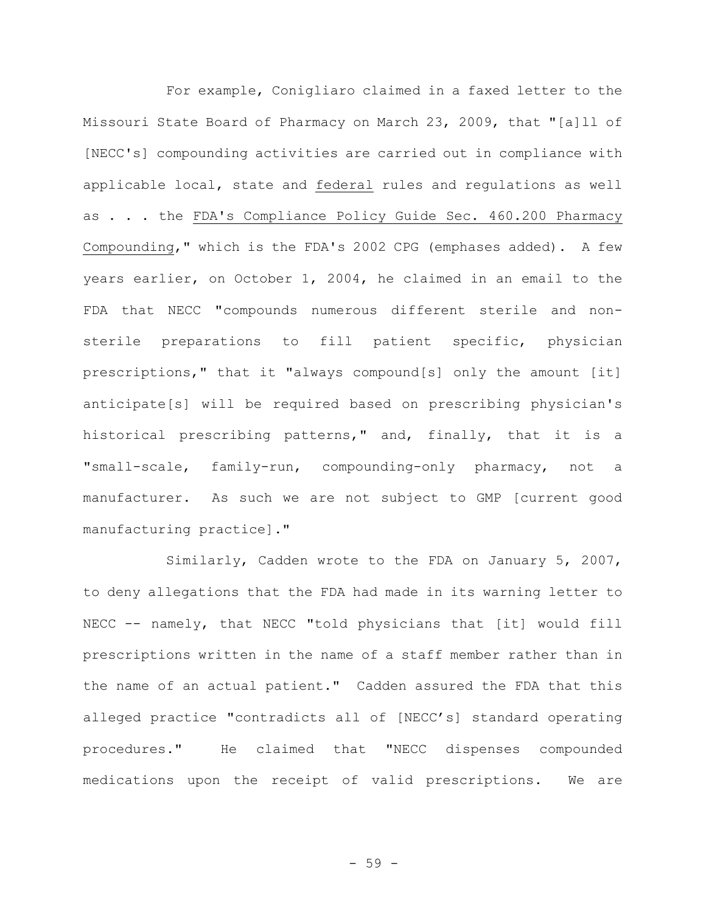For example, Conigliaro claimed in a faxed letter to the Missouri State Board of Pharmacy on March 23, 2009, that "[a]ll of [NECC's] compounding activities are carried out in compliance with applicable local, state and federal rules and regulations as well as . . . the FDA's Compliance Policy Guide Sec. 460.200 Pharmacy Compounding," which is the FDA's 2002 CPG (emphases added). A few years earlier, on October 1, 2004, he claimed in an email to the FDA that NECC "compounds numerous different sterile and nonsterile preparations to fill patient specific, physician prescriptions," that it "always compound[s] only the amount [it] anticipate[s] will be required based on prescribing physician's historical prescribing patterns," and, finally, that it is a "small-scale, family-run, compounding-only pharmacy, not a manufacturer. As such we are not subject to GMP [current good manufacturing practice]."

Similarly, Cadden wrote to the FDA on January 5, 2007, to deny allegations that the FDA had made in its warning letter to NECC -- namely, that NECC "told physicians that [it] would fill prescriptions written in the name of a staff member rather than in the name of an actual patient." Cadden assured the FDA that this alleged practice "contradicts all of [NECC's] standard operating procedures." He claimed that "NECC dispenses compounded medications upon the receipt of valid prescriptions. We are

- 59 -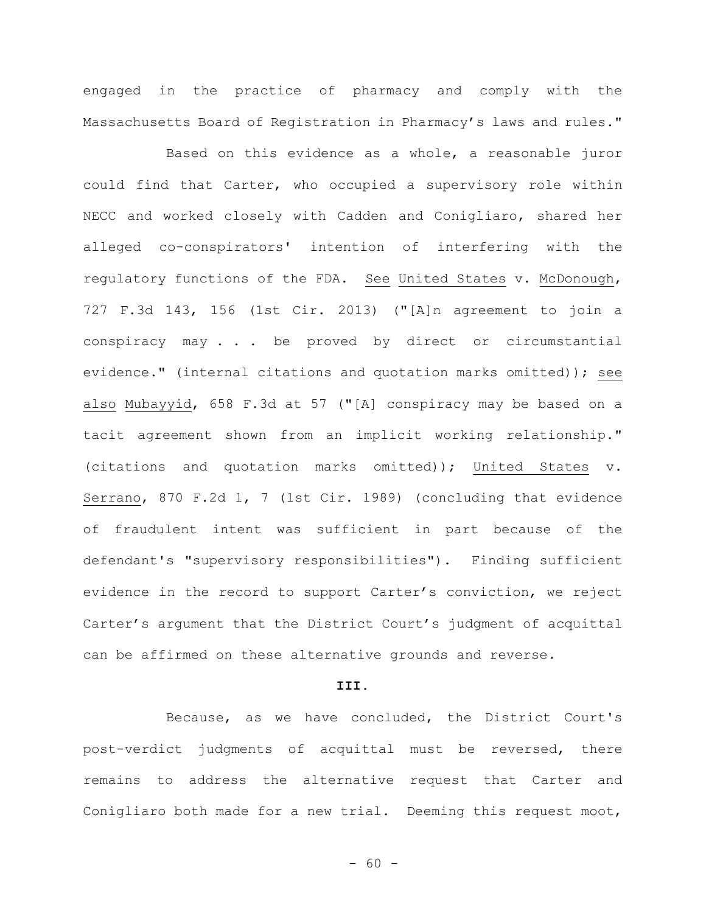engaged in the practice of pharmacy and comply with the Massachusetts Board of Registration in Pharmacy's laws and rules."

Based on this evidence as a whole, a reasonable juror could find that Carter, who occupied a supervisory role within NECC and worked closely with Cadden and Conigliaro, shared her alleged co-conspirators' intention of interfering with the regulatory functions of the FDA. See United States v. McDonough, 727 F.3d 143, 156 (1st Cir. 2013) ("[A]n agreement to join a conspiracy may . . . be proved by direct or circumstantial evidence." (internal citations and quotation marks omitted)); see also Mubayyid, 658 F.3d at 57 ("[A] conspiracy may be based on a tacit agreement shown from an implicit working relationship." (citations and quotation marks omitted)); United States v. Serrano, 870 F.2d 1, 7 (1st Cir. 1989) (concluding that evidence of fraudulent intent was sufficient in part because of the defendant's "supervisory responsibilities"). Finding sufficient evidence in the record to support Carter's conviction, we reject Carter's argument that the District Court's judgment of acquittal can be affirmed on these alternative grounds and reverse.

### **III.**

Because, as we have concluded, the District Court's post-verdict judgments of acquittal must be reversed, there remains to address the alternative request that Carter and Conigliaro both made for a new trial. Deeming this request moot,

 $- 60 -$